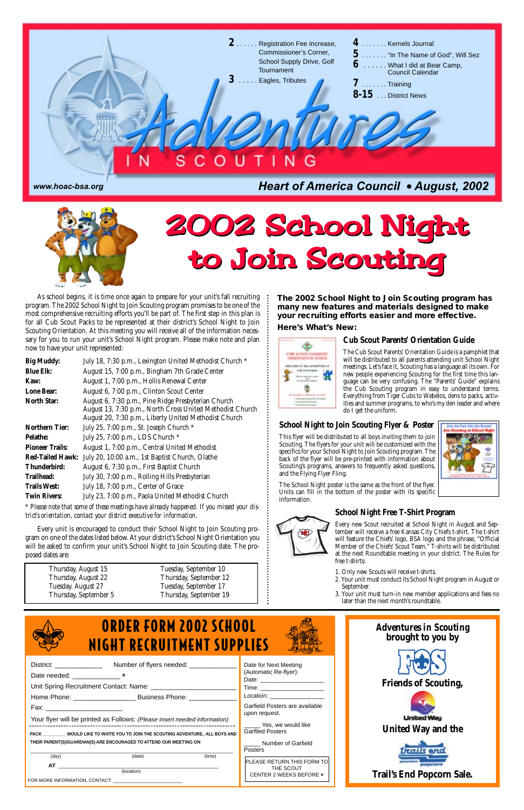



### *Adventures in Scouting* **brought to you by**



### **Friends of Scouting,**





### **Trail's End Popcorn Sale.**

As school begins, it is time once again to prepare for your unit's fall recruiting program. The 2002 School Night to Join Scouting program promises to be one of the most comprehensive recruiting efforts you'll be part of. The first step in this plan is for all Cub Scout Packs to be represented at their district's School Night to Join Scouting Orientation. At this meeting you will receive all of the information necessary for you to run your unit's School Night program. Please make note and plan now to have your unit represented:

| <b>Big Muddy:</b>       | July 18, 7:30 p.m., Lexington United Methodist Church *                                                                                                                   |
|-------------------------|---------------------------------------------------------------------------------------------------------------------------------------------------------------------------|
| <b>Blue Elk:</b>        | August 15, 7:00 p.m., Bingham 7th Grade Center                                                                                                                            |
| Kaw:                    | August 1, 7:00 p.m., Hollis Renewal Center                                                                                                                                |
| <b>Lone Bear:</b>       | August 6, 7:00 p.m., Clinton Scout Center                                                                                                                                 |
| <b>North Star:</b>      | August 6, 7:30 p.m., Pine Ridge Presbyterian Church<br>August 13, 7:30 p.m., North Cross United Methodist Church<br>August 20, 7:30 p.m., Liberty United Methodist Church |
| <b>Northern Tier:</b>   | July 25, 7:00 p.m., St. Joseph Church *                                                                                                                                   |
| <b>Pelathe:</b>         | July 25, 7:00 p.m., LDS Church *                                                                                                                                          |
| <b>Pioneer Trails:</b>  | August 1, 7:00 p.m., Central United Methodist                                                                                                                             |
| <b>Red-Tailed Hawk:</b> | July 20, 10:00 a.m., 1st Baptist Church, Olathe                                                                                                                           |
| Thunderbird:            | August 6, 7:30 p.m., First Baptist Church                                                                                                                                 |
| Trailhead:              | July 30, 7:00 p.m., Rolling Hills Presbyterian                                                                                                                            |
| <b>Trails West:</b>     | July 18, 7:00 p.m., Center of Grace                                                                                                                                       |
| <b>Twin Rivers:</b>     | July 23, 7:00 p.m., Paola United Methodist Church                                                                                                                         |

*\* Please note that some of these meetings have already happened. If you missed your district's orientation, contact your district executive for information.*

| District: $\frac{1}{2}$ District:                                                                                                                | Number of flyers needed: _________ |        | Date for Next Meeting                |  |
|--------------------------------------------------------------------------------------------------------------------------------------------------|------------------------------------|--------|--------------------------------------|--|
| Date needed: _________________*                                                                                                                  |                                    |        | (Automatic Re-flyer):                |  |
|                                                                                                                                                  |                                    |        | Time: ________________________       |  |
|                                                                                                                                                  |                                    |        | Location: ____________________       |  |
| Fax: _______________________                                                                                                                     |                                    |        | Garfield Posters are available       |  |
| Your flyer will be printed as Follows: (Please insert needed information)                                                                        |                                    |        | upon request.<br>Yes, we would like  |  |
| PACK WOULD LIKE TO INVITE YOU TO JOIN THE SCOUTING ADVENTURE ALL BOYS AND                                                                        |                                    |        | <b>Garfiled Posters</b>              |  |
| THEIR PARENT(S)/GUARDIAN(S) ARE ENCOURAGED TO ATTEND OUR MEETING ON                                                                              |                                    |        | Number of Garfield<br>Posters        |  |
| (day)                                                                                                                                            | (date)                             | (time) | <b>PLEASE RETURN THIS FORM TO</b>    |  |
| AT THE STATE OF STATE AND THE STATE OF STATE AND THE STATE OF STATE AND THE STATE OF STATE AND THE STATE OF ST<br>FOR MORE INFORMATION, CONTACT: | (location)                         |        | THE SCOUT<br>CENTER 2 WEEKS BEFORE * |  |



Every unit is encouraged to conduct their School Night to Join Scouting program on one of the dates listed below. At your district's School Night Orientation you will be asked to confirm your unit's School Night to Join Scouting date. The proposed dates are:

- 1. Only new Scouts will receive t-shirts.
- 2. Your unit must conduct its School Night program in August or September.
- Your unit must turn-in new member applications and fees no

#### **Cub Scout Parents' Orientation Guide**

The Cub Scout Parents' Orientation Guide is a pamphlet that will be distributed to all parents attending unit School Night meetings. Let's face it, Scouting has a language all its own. For new people experiencing Scouting for the first time this language can be very confusing. The "Parents' Guide" explains the Cub Scouting program in easy to understand terms. Everything from Tiger Cubs to Webelos, dens to packs, activities and summer programs, to who's my den leader and where do I get the uniform.

| Thursday, August 15  | Tuesday, September 10  |
|----------------------|------------------------|
| Thursday, August 22  | Thursday, September 12 |
| Tuesday. August 27   | Tuesday, September 17  |
| Thureday Sentember 5 | Thureday Sentember 10  |



**The 2002 School Night to Join Scouting program has many new features and materials designed to make your recruiting efforts easier and more effective.**

#### **Here's What's New:**



### **School Night Free T-Shirt Program**



Every new Scout recruited at School Night in August and September will receive a free Kansas City Chiefs t-shirt. The t-shirt will feature the Chiefs' logo, BSA logo and the phrase, "Official Member of the Chiefs' Scout Team." T-shirts will be distributed at the next Roundtable meeting in your district. The Rules for free t-shirts:

# 2002 School Night 2002 School Night to Join Scouting to Join Scouting

later than the next month's roundtable.



#### **School Night to Join Scouting Flyer & Poster**

This flyer will be distributed to all boys inviting them to join Scouting. The flyers for your unit will be customized with the specifics for your School Night to Join Scouting program. The back of the flyer will be pre-printed with information about Scouting's programs, answers to frequently asked questions, and the Flying Flyer Fling.



The School Night poster is the same as the front of the flyer. Units can fill in the bottom of the poster with its specific information.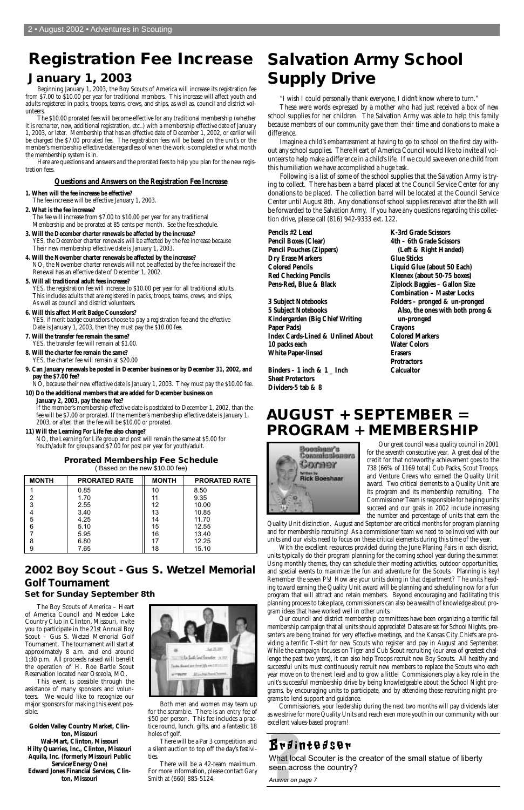#### **Prorated Membership Fee Schedule** ( Based on the new \$10.00 fee)

Our great council was a quality council in 2001 for the seventh consecutive year. A great deal of the credit for that noteworthy achievement goes to the 738 (66% of 1169 total) Cub Packs, Scout Troops, and Venture Crews who earned the Quality Unit award. Two critical elements to a Quality Unit are its program and its membership recruiting. The Commissioner Team is responsible for helping units succeed and our goals in 2002 include increasing the number and percentage of units that earn the

Quality Unit distinction. August and September are critical months for program planning and for membership recruiting! As a commissioner team we need to be involved with our units and our visits need to focus on these critical elements during this time of the year.

With the excellent resources provided during the June Planing Fairs in each district, units typically do their program planning for the coming school year during the summer. Using monthly themes, they can schedule their meeting activities, outdoor opportunities, and special events to maximize the fun and adventure for the Scouts. Planning is key! Remember the seven P's! How are your units doing in that department? The units heading toward earning the Quality Unit award will be planning and scheduling now for a fun program that will attract and retain members. Beyond encouraging and facilitating this planning process to take place, commissioners can also be a wealth of knowledge about program ideas that have worked well in other units. Our council and district membership committees have been organizing a terrific fall membership campaign that all units should appreciate! Dates are set for School Nights, presenters are being trained for very effective meetings, and the Kansas City Chiefs are providing a terrific T-shirt for new Scouts who register and pay in August and September. While the campaign focuses on Tiger and Cub Scout recruiting (our area of greatest challenge the past two years), it can also help Troops recruit new Boy Scouts. All healthy and successful units must continuously recruit new members to replace the Scouts who each year move on to the next level and to grow a little! Commissioners play a key role in the unit's successful membership drive by being knowledgeable about the School Night programs, by encouraging units to participate, and by attending those recruiting night programs to lend support and guidance. Commissioners, your leadership during the next two months will pay dividends later as we strive for more Quality Units and reach even more youth in our community with our excellent values-based program!

# **Registration Fee Increase January 1, 2003**

Beginning January 1, 2003, the Boy Scouts of America will increase its registration fee from \$7.00 to \$10.00 per year for traditional members. This increase will affect youth and adults registered in packs, troops, teams, crews, and ships, as well as, council and district volunteers.

The \$10.00 prorated fees will become effective for any traditional membership (whether it is recharter, new, additional registration, etc..) with a membership effective date of January 1, 2003, or later. Membership that has an effective date of December 1, 2002, or earlier will be charged the \$7.00 prorated fee. The registration fees will be based on the unit's or the member's membership effective date regardless of when the work is completed or what month the membership system is in.

Here are questions and answers and the prorated fees to help you plan for the new registration fees.

#### **Questions and Answers on the Registration Fee Increase**

#### **1. When will the fee increase be effective?**

The fee increase will be effective January 1, 2003.

**2. What is the fee increase?**

The fee will increase from \$7.00 to \$10.00 per year for any traditional Membership and be prorated at 85 cents per month. See the fee schedule.

> *Rudintedsen*<br>What local Scouter is the<br>seen across the country<br>Answer on page 7 What local Scouter is the creator of the small statue of liberty seen across the country?

- **3. Will the December charter renewals be affected by the increase?** YES, the December charter renewals will be affected by the fee increase because Their new membership effective date is January 1, 2003.
- **4. Will the November charter renewals be affected by the increase?** NO, the November charter renewals will not be affected by the fee increase if the Renewal has an effective date of December 1, 2002.
- **5. Will all traditional adult fees increase?**

There will be a Par 3 competition and a silent auction to top off the day's festivities

YES, the registration fee will increase to \$10.00 per year for all traditional adults. This includes adults that are registered in packs, troops, teams, crews, and ships, As well as council and district volunteers.

- **6. Will this affect Merit Badge Counselors?** YES, if merit badge counselors choose to pay a registration fee and the effective Date is January 1, 2003, then they must pay the \$10.00 fee.
- **7. Will the transfer fee remain the same?** YES, the transfer fee will remain at \$1.00.
- **8. Will the charter fee remain the same?**
- YES, the charter fee will remain at \$20.00
- **9. Can January renewals be posted in December business or by December 31, 2002, and pay the \$7.00 fee?**

NO, because their new effective date is January 1, 2003. They must pay the \$10.00 fee.

#### **10) Do the additional members that are added for December business on**

#### **January 2, 2003, pay the new fee?**

If the member's membership effective date is postdated to December 1, 2002, than the fee will be \$7.00 or prorated. If the member's membership effective date is January 1, 2003, or after, than the fee will be \$10.00 or prorated.

#### **11) Will the Learning For Life fee also change?**

NO, the Learning for Life group and post will remain the same at \$5.00 for Youth/adult for groups and \$7.00 for post per year for youth/adult.

**Salvation Army School**

**Supply Drive**

"I wish I could personally thank everyone, I didn't know where to turn."

These were words expressed by a mother who had just received a box of new school supplies for her children. The Salvation Army was able to help this family because members of our community gave them their time and donations to make a

difference.

Imagine a child's embarrassment at having to go to school on the first day without any school supplies. There Heart of America Council would like to invite all volunteers to help make a difference in a child's life. If we could save even one child from

this humiliation we have accomplished a huge task.



Following is a list of some of the school supplies that the Salvation Army is trying to collect. There has been a barrel placed at the Council Service Center for any donations to be placed. The collection barrel will be located at the Council Service Center until August 8th. Any donations of school supplies received after the 8th will

#### be forwarded to the Salvation Army. If you have any questions regarding this collection drive, please call (816) 942-9333 ext. 122. **Pencils #2 Lead Pencil Boxes (Clear)**

**Pencil Pouches (Zippers) Dry Erase Markers Colored Pencils Red Checking Pencils Pens-Red, Blue & Black**

**3 Subject Notebooks 5 Subject Notebooks Kindergarden (Big Chief Writing Paper Pads) Index Cards-Lined & Unlined About 10 packs each White Paper-linsed**

**Binders – 1 inch & 1 \_ Inch Sheet Protectors Dividers-5 tab & 8**

**K-3rd Grade Scissors 4th – 6th Grade Scissors (Left & Right Handed) Glue Sticks Liquid Glue (about 50 Each) Kleenex (about 50-75 boxes) Ziplock Baggies – Gallon Size Combination – Master Locks Folders – pronged & un-pronged Also, the ones with both prong & un-pronged Crayons Colored Markers Water Colors Erasers Protractors Calcualtor**

# **AUGUST + SEPTEMBER = PROGRAM + MEMBERSHIP**

| <b>MONTH</b> | <b>PRORATED RATE</b> | <b>MONTH</b> | <b>PRORATED RATE</b> |
|--------------|----------------------|--------------|----------------------|
|              | 0.85                 | 10           | 8.50                 |
|              | 1.70                 |              | 9.35                 |
| ≏            | 2.55                 | 12           | 10.00                |
|              | 3.40                 | 13           | 10.85                |
| 5            | 4.25                 | 14           | 11.70                |
| 6            | 5.10                 | 15           | 12.55                |
|              | 5.95                 | 16           | 13.40                |
|              | 6.80                 |              | 12.25                |
|              | 7.65                 | 18           | 15.10                |

*Answer on page 7*

## **2002 Boy Scout - Gus S. Wetzel Memorial Golf Tournament**

#### **Set for Sunday September 8th**

The Boy Scouts of America – Heart of America Council and Meadow Lake Country Club in Clinton, Missouri, invite you to participate in the 21st Annual Boy Scout – Gus S. Wetzel Memorial Golf Tournament. The tournament will start at approximately 8 a.m. and end around 1:30 p.m. All proceeds raised will benefit the operation of H. Roe Bartle Scout Reservation located near Osceola, MO.

This event is possible through the assistance of many sponsors and volunteers. We would like to recognize our major sponsors for making this event possible.

**Golden Valley Country Market, Clinton, Missouri Wal-Mart, Clinton, Missouri Hilty Quarries, Inc., Clinton, Missouri Aquila, Inc. (formerly Missouri Public Service/Energy One) Edward Jones Financial Services, Clinton, Missouri**



Both men and women may team up for the scramble. There is an entry fee of \$50 per person. This fee includes a practice round, lunch, gifts, and a fantastic 18 holes of golf.

There will be a 42-team maximum. For more information, please contact *Gary Smith* at (660) 885-5124.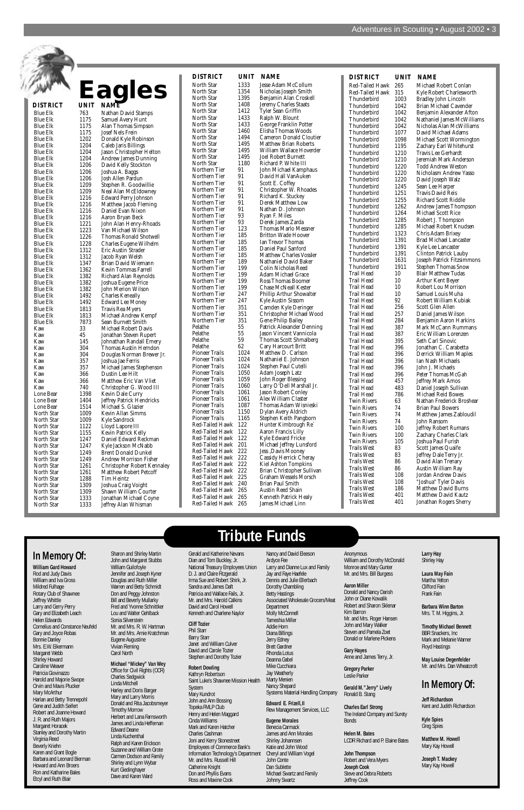

## **Tribute Funds**

### **In Memory Of:**

**William Gard Howard** Rod and Judy Davis William and Iva Gross Mildred Fulhage Rotary Club of Sh Jeffrey Whittle Larry and Gerry Perry Gary and Elizabeth Leach Helen Edwards Cornelius and Constance Neufeld Gary and Joyce Robas Bonnie Danley Mrs. E.W. Eikermann Margaret Webb Shirley Howard Caroline Weaver Patricia Giovinazzo Harold and Majorie Swope Orvin and Mavis Plucker Mary McArthur Harlan and Betty Trennepohl Gene and Judith Seifert Robert and Joanne Howard J. R. and Ruth Majors Margaret Horacek Stanley and Dorothy Martin Virginia Reed Beverly Kriehn Karen and Grant Bogle Barbara and Leonard Bierman Howard and Ann Broers Ron and Katharine Bales Etcyl and Ruth Blair

Sharon and Shirley Martin John and Margaret Stubbs William Guilofoyle Jennifer and Joseph Kyner Douglas and Ruth Miller Warren and Betty Schmidt Don and Peggy Johnston Bill and Beverly Mullarky Fred and Yvonne Schnittker Lou and Walter Gehlback Sonia Silverstein Mr. and Mrs. R. W. Hartman Mr. and Mrs. Arnie Kratchman Eugene Augustine Vivian Fleming Carol North

#### **Michael "Mickey" Van Wey**

Office for Civil Rights (OCR) Charles Sedgwick Linda Mitchell Harley and Doris Barger Mary and Larry Morris Donald and Rita Jacobsmeyer Timothy Morrow Herbert and Lana Farnsworth James and Linda Heffernan Edward Deane Linda Kuchenthal Ralph and Karen Erickson Suzanne and William Grote Carmen Dodson and Family Shirley and Lynn Wybar Kurt Giedinghayer Dave and Karen Ward

Gerald and Katherine Nevans Dian and Tom Buckley, Jr. National Treasury Employees Union D. J. and Claire Fitzgerald Irma Sue and Robert Shirk, Jr. Sandra and James Daft Patricia and Wallace Fails Mr. and Mrs. Harold Calkins David and Carol Howell Kenneth and Charlene Naylor

**Cliff Tozier** Phil Starr Barry Starr Janet and William Culver David and Carole Tozier Stephen and Dorothy Tozier

#### **Robert Dowling**

Kathryn Robertson Saint Luke's Shawnee Mission Health System Mary Kundrot John and Ann Bossing Topeka FMLP Club Henry and Helen Maggard Cinda Williams Mark and Karen Hatcher Charles Cashman Joni and Kerry Stonestreet Employees of Commerce Bank's Information Technology's Department Mr. and Mrs. Russell Hill Catherine Knight Don and Phyllis Evans Ross and Maxine Cook

Nancy and David Eleeson Ardyce Fee Larry and Dianne Lux and Family Jay and Faye Haefele Dennis and Julie Ellerbach Dorothy Chambling Betty Hastings Associated Wholesale Grocers/Meat Department Molly McConnell Tameshia Miller Addie Horn Diana Billings Jerry Edney Brett Gardner Rhonda Lotus Deanna Gabel Mike Cucchiara Jay Weatherly Marty Menien Nancy Shepard Systems Material Handling Company **Edward E. Frizell,II** Rew Management Services, LLC

**Eugene Morales** Benecia Carmack James and Ann Morales Shirley Johannsen Katie and John Wood Cheryl and William Vogel John Conte Dan Sublette Michael Swartz and Family Johnny Swartz

Anonymous William and Dorothy McDonald Monroe and Mary Gunter Mr. and Mrs. Bill Burgess

**Aaron Miller** Donald and Nancy Darish

John or Diane Kowalik Robert and Sharon Sklenar Kim Barron Mr. and Mrs. Roger Hansen John and Mary Walker Steven and Pamela Zoet Donald or Marlene Pickens

**Gary Hayes** Anne and James Terry, Jr.

#### **Gregory Parker** Leslie Parker

**Gerald M."Jerry" Lively** Ronald B. Stang

**Charles Earl Strong** The Ireland Company and Surety Bonds

**Helen M. Bates** LCDR Richard and P. Elaine Bates

**John Thompson** Robert and Vera Myers **Joseph Cook** Steve and Debra Roberts Jeffrey Cook

### **Larry Hay**

Shirley Hay **Laura May Fain**

Martha Yelton Clifford Fain Frank Fain

**Barbara Winn Barton** Mrs. T. M. Higgins, Jr.

**Timothy Michael Bennett** BBR Snackers, Inc Mark and Melanie Warner Floyd Hastings

**May Louise Degenfelder** Mr. and Mrs. Dan Wheatcroft

### **In Memory Of:**

**Jeff Richardson** Kent and Judith Richardson

**Kyle Spies** Greg Spies

**Matthew M. Howell** Mary Kay Howell

**Joseph T. Mackey** Mary Kay Howell

| <b>DISTRICT</b>       | <b>UNIT</b> | <b>NAME</b>                      | <b>DISTRICT</b>    | <b>UNIT</b> | <b>NAME</b>           |
|-----------------------|-------------|----------------------------------|--------------------|-------------|-----------------------|
| North Star            | 1333        | Jesse Adam McCollum              | Red-Tailed Hawk    | 265         | Michael               |
| North Star            | 1354        | Nicholas Joseph Smith            | Red-Tailed Hawk    | 315         | Kyle Rob              |
| North Star            | 1395        | Benjamin Alan Croskell           | Thunderbird        | 1003        | <b>Bradley J</b>      |
| North Star            | 1408        | Jeremy Charles Staats            | Thunderbird        | 1042        | <b>Brian Mi</b>       |
| North Star            | 1412        | Tyler Sean Griffin               | Thunderbird        | 1042        | Benjamin              |
| North Star            | 1433        | Ralph W. Blount                  | Thunderbird        | 1042        | Nathanie              |
| North Star            | 1433        | George Franklin Potter           | Thunderbird        | 1042        | Nicholas              |
| North Star            | 1460        | Elisha Thomas Woods              | Thunderbird        | 1077        | David M               |
| North Star            | 1494        | <b>Cameron Donald Cloutier</b>   | Thunderbird        | 1098        | Michael               |
| North Star            | 1495        | <b>Matthew Brian Roberts</b>     | Thunderbird        | 1195        |                       |
| North Star            | 1495        | William Wallace Hoverder         | Thunderbird        | 1210        | Zachary               |
| North Star            | 1495        | <b>Joel Robert Burnett</b>       | Thunderbird        | 1210        | Travis Le<br>Jeremiah |
| North Star            | 1180        | Richard P. White III             | Thunderbird        | 1220        | <b>Todd An</b>        |
| Northern Tier         | 91          | John Michael Kamphaus            | Thunderbird        | 1220        | Nicholas              |
| Northern Tier         | 91          | David Hall VanAuken              |                    |             |                       |
| Northern Tier         | 91          | Scott E. Coffey                  | Thunderbird        | 1220        | David Jo              |
| Northern Tier         | 91          | Christopher W. Rhoades           | Thunderbird        | 1245        | Sean Lee              |
| Northern Tier         | 91          | Richard K. Stuckey               | Thunderbird        | 1251        | Travis Da             |
| Northern Tier         | 91          | Derek Matthew Low                | <b>Thunderbird</b> | 1255        | Richard:              |
| Northern Tier         | 91          | Nathan D. Johnson                | Thunderbird        | 1262        | Andrew.               |
| Northern Tier         | 93          | Ryan F. Miles                    | Thunderbird        | 1264        | Michael               |
| Northern Tier         | 93          | Derek James Zarda                | Thunderbird        | 1285        | Robert J.             |
| Northern Tier         | 123         | Thomas Marlo Messner             | Thunderbird        | 1285        | Michael               |
| Northern Tier         | 185         | <b>Britton Wade Hoover</b>       | Thunderbird        | 1323        | Chris Ad              |
| Northern Tier         | 185         | Ian Trevor Thomas                | Thunderbird        | 1391        | <b>Brad Mio</b>       |
| Northern Tier         | 185         | Daniel Paul Sanford              | Thunderbird        | 1391        | Kyle Lee              |
| Northern Tier         | 185         | <b>Matthew Charles Vossler</b>   | <b>Thunderbird</b> | 1391        | Clinton 1             |
| Northern Tier         | 189         | Nathaniel David Baker            | Thunderbird        | 1631        | Joseph Pa             |
| Northern Tier         | 199         | Colin Nicholas Reed              | Thunderbird        | 1911        | Stephen'              |
| Northern Tier         | 199         | Adam Michael Grace               | Trail Head         | 10          | <b>Blair Ma</b>       |
| Northern Tier         | 199         | <b>Ross Thomas Boomer</b>        | Trail Head         | 10          | Arthur K              |
| Northern Tier         | 199         | <b>Chase McNeall Kester</b>      | Trail Head         | 10          | Robert L              |
| Northern Tier         | 247         | Phillip Arthur Showalter         | Trail Head         | 10          | Samuel I              |
| Northern Tier         | 247         | Kyle Austin Sissom               | Trail Head         | 92          | Robert V              |
| Northern Tier         | 351         | Camden Kyle Deringer             | Trail Head         | 256         | Scott Gle             |
| Northern Tier         | 351         | Christopher Michael Wood         | Trail Head         | 257         | Daniel Ja             |
| Northern Tier         | 351         | <b>Gene Philip Bailey</b>        | Trail Head         | 284         | Benjamin              |
| Pelathe               | 55          | <b>Patrick Alexander Denning</b> | <b>Trail Head</b>  | 387         | Mark Mo               |
| Pelathe               | 55          | Jason Vincent Vannicola          | Trail Head         | 387         | Eric Will             |
| Pelathe               | 59          | <b>Thomas Scott Shmalberg</b>    | Trail Head         | 395         | Seth Car              |
| Pelathe               | 62          | Cary Harcourt Britt              | <b>Trail Head</b>  | 396         | Jonathan              |
| <b>Pioneer Trails</b> | 1024        | Matthew D. Carlson               | Trail Head         | 396         | Derrick <sup>1</sup>  |
| <b>Pioneer Trails</b> | 1024        | Nathaniel E. Johnson             | <b>Trail Head</b>  | 396         | Ian Nash              |
| <b>Pioneer Trails</b> | 1024        | Stephen Paul Cutelli             | Trail Head         | 396         | John J. N             |
| <b>Pioneer Trails</b> | 1050        | Adam Joseph Latz                 | Trail Head         | 396         | Peter The             |
| <b>Pioneer Trails</b> | 1059        | John Roger Blessing              | Trail Head         | 457         | Jeffrey M             |
| <b>Pioneer Trails</b> | 1060        | Larry O'Dell Marshall Jr.        | Trail Head         | 483         | Daniel Jo             |
| <b>Pioneer Trails</b> | 1061        | Jason Robert Conley              | Trail Head         | 786         | Michael               |
| <b>Pioneer Trails</b> | 1061        | Alex William Claster             | <b>Twin Rivers</b> | 63          | Nathan I              |
| <b>Pioneer Trails</b> | 1087        | Thomas Adam Wisnieski            | <b>Twin Rivers</b> | 74          | <b>Brian Pat</b>      |
| <b>Pioneer Trails</b> | 1150        | Dylan Avery Aldrich              | <b>Twin Rivers</b> | 74          | Matthew               |
| <b>Pioneer Trails</b> | 1165        | Stephen Keith Pangborn           | <b>Twin Rivers</b> | 74          | John Rar              |
| Red-Tailed Hawk       | 122         | Hunter Kimbrough Re`             | Twin Rivers        | 100         | Jeffrey R             |
| Red-Tailed Hawk       | 122         | Aaron Francis Lilly              | <b>Twin Rivers</b> | 100         | Zachary               |
| Red-Tailed Hawk       | 122         | Kyle Edward Fricke               | <b>Twin Rivers</b> | 105         | Joshua Pa             |
| Red-Tailed Hawk       | 201         | Michael Jeffrey Lunsford         | <b>Trails West</b> | 83          | Scott Jan             |
| Red-Tailed Hawk       | 222         | Jess , Davis Mooney              | <b>Trails West</b> | 83          | Jeffrey D             |
| Red-Tailed Hawk       | 222         | Cassidy Herrick Cheray           | <b>Trails West</b> | 86          | David Al              |
| Red-Tailed Hawk       | 222         | <b>Kiel Ashton Tompkins</b>      | <b>Trails West</b> | 86          | <b>Austin W</b>       |
| Red-Tailed Hawk       | 222         | Brian Christopher Sullivan       | <b>Trails West</b> | 108         | Jordan A              |
| Red-Tailed Hawk       | 225         | Graham Wessels Morsch            |                    |             |                       |
| Red-Tailed Hawk       | 240         | <b>Brian Paul Smith</b>          | <b>Trails West</b> | 108         | "Joshua"              |
| Red-Tailed Hawk       | 265         | Austin Reed Shain                | <b>Trails West</b> | 186         | Matthew               |
| Red-Tailed Hawk       | 265         | Kenneth Patrick Healy            | <b>Trails West</b> | 401         | Matthew               |
| Red-Tailed Hawk       | 265         | James Michael Linn               | <b>Trails West</b> | 401         | Jonathan              |

| ľ | <b>NAME</b>                                           |
|---|-------------------------------------------------------|
|   | <b>Jesse Adam McCollum</b>                            |
|   | Nicholas Joseph Smith                                 |
|   | Benjamin Alan Croskell                                |
|   | Jeremy Charles Staats<br>Tyler Sean Griffin           |
|   | Ralph W. Blount                                       |
|   | George Franklin Potter                                |
|   | Elisha Thomas Woods                                   |
|   | <b>Cameron Donald Cloutier</b>                        |
|   | Matthew Brian Roberts                                 |
|   | William Wallace Hoverder                              |
|   | <b>Joel Robert Burnett</b><br>Richard P. White III    |
|   | John Michael Kamphaus                                 |
|   | David Hall VanAuken                                   |
|   | Scott E. Coffey                                       |
|   | Christopher W. Rhoades                                |
|   | Richard K. Stuckey                                    |
|   | Derek Matthew Low                                     |
|   | Nathan D. Johnson<br>Ryan F. Miles                    |
|   | Derek James Zarda                                     |
|   | <b>Thomas Marlo Messner</b>                           |
|   | <b>Britton Wade Hoover</b>                            |
|   | <b>Ian Trevor Thomas</b>                              |
|   | Daniel Paul Sanford                                   |
|   | <b>Matthew Charles Vossler</b>                        |
|   | Nathaniel David Baker<br>Colin Nicholas Reed          |
|   | Adam Michael Grace                                    |
|   | <b>Ross Thomas Boomer</b>                             |
|   | <b>Chase McNeall Kester</b>                           |
|   | Phillip Arthur Showalter                              |
|   | <b>Kyle Austin Sissom</b>                             |
|   | Camden Kyle Deringer<br>Christopher Michael Wood      |
|   | <b>Gene Philip Bailey</b>                             |
|   | Patrick Alexander Denning                             |
|   | Jason Vincent Vannicola                               |
|   | <b>Thomas Scott Shmalberg</b>                         |
|   | Cary Harcourt Britt                                   |
|   | Matthew D. Carlson<br>Nathaniel E. Johnson            |
|   | Stephen Paul Cutelli                                  |
|   | <b>Adam Joseph Latz</b>                               |
|   | John Roger Blessing                                   |
|   | Larry O'Dell Marshall Jr.                             |
|   | Jason Robert Conley<br>Alex William Claster           |
|   |                                                       |
|   | Thomas Adam Wisnieski<br>Dylan Avery Aldrich          |
|   | Stephen Keith Pangborn                                |
|   | Hunter Kimbrough Re`                                  |
|   | Aaron Francis Lilly                                   |
|   | Kyle Edward Fricke                                    |
|   | Michael Jeffrey Lunsford                              |
|   | Jess , Davis Mooney                                   |
|   | Cassidy Herrick Cheray<br><b>Kiel Ashton Tompkins</b> |
|   | Brian Christopher Sullivan                            |
|   | <b>Graham Wessels Morsch</b>                          |
|   | <b>Brian Paul Smith</b>                               |
|   | Austin Reed Shain                                     |
|   | Kenneth Patrick Healy                                 |
|   | James Michael Linn                                    |

| <b>DISTRICT</b>                         |
|-----------------------------------------|
| Red-Tailed Haw<br>Red-Tailed Haw        |
|                                         |
| Thunderbird<br>Thunderbird              |
| Thunderbird                             |
| Thunderbird                             |
| Thunderbird                             |
| Thunderbird<br>Thunderbird              |
| Thunderbird                             |
| Thunderbird                             |
| Thunderbird                             |
| Thunderbird                             |
| Thunderbird<br>Thunderbird              |
| Thunderbird                             |
| Thunderbird                             |
| Thunderbird                             |
| Thunderbird<br>Thunderbird              |
| Thunderbird                             |
| Thunderbird                             |
| Thunderbird                             |
| Thunderbird<br>Thunderbird              |
| Thunderbird                             |
| Thunderbird                             |
| Thunderbird                             |
| <b>Trail Head</b>                       |
| Trail Head<br>Trail Head                |
| Trail Head                              |
| Trail Head                              |
| Trail Head<br>Trail Head                |
| Trail Head                              |
|                                         |
| Trail Head<br>Trail Head                |
| <b>Trail Head</b>                       |
| Trail Head<br>Trail Head                |
| Trail Head                              |
| Trail<br>Trail Head<br>Trail Head       |
|                                         |
| <b>Trail Head</b><br>Trail<br>Head      |
| Trail<br>Head                           |
| Twin<br><b>Rivers</b>                   |
| <b>Twin Rivers</b>                      |
| Rivers<br>Twin<br>Twin<br><b>Rivers</b> |
| Rivers<br>Twin                          |
| Twin<br><b>Rivers</b>                   |
| Twin<br><b>Rivers</b>                   |
| Trails<br>West<br>Trails<br>West        |
| Trails<br>West                          |
| West<br><b>Trails</b>                   |
| <b>Trails West</b>                      |
| Trails West<br><b>Trails West</b>       |
| <b>Trails West</b>                      |
| <b>Trails West</b>                      |
|                                         |

| <b>DISTRICT</b>    | <b>UNIT</b> | <b>NAME</b>                                 |
|--------------------|-------------|---------------------------------------------|
| Red-Tailed Hawk    | 265         | Michael Robert Conlan                       |
| Red-Tailed Hawk    | 315         | Kyle Robert Charlesworth                    |
| Thunderbird        | 1003        | <b>Bradley John Lincoln</b>                 |
| Thunderbird        | 1042        | <b>Brian Michael Cavender</b>               |
| Thunderbird        | 1042        | Beniamin Alexander Afton                    |
| Thunderbird        | 1042        | Nathaniel James McWilliams                  |
| Thunderbird        | 1042        | Nicholas Alan McWilliams                    |
| Thunderbird        | 1077        | David Michael Adams                         |
| Thunderbird        | 1098        | Michael Scott Wormington                    |
| Thunderbird        | 1195        | Zachary Earl Whitehurst                     |
| Thunderbird        | 1210        | Travis Lee Gerhardt                         |
| Thunderbird        | 1210        | Jeremiah Mark Anderson                      |
| Thunderbird        | 1220        | <b>Todd Andrew Weston</b>                   |
| Thunderbird        | 1220        | Nicholasm Andrew Yasso                      |
| Thunderbird        | 1220        | David Joseph Walz                           |
| Thunderbird        | 1245        |                                             |
| Thunderbird        | 1251        | Sean Lee Harper<br><b>Travis David Reis</b> |
|                    |             |                                             |
| Thunderbird        | 1255        | Richard Scott Riddle                        |
| Thunderbird        | 1262        | <b>Andrew James Thompson</b>                |
| Thunderbird        | 1264        | <b>Michael Scott Rice</b>                   |
| Thunderbird        | 1285        | Robert J. Thompson                          |
| Thunderbird        | 1285        | Michael Robert Knudsen                      |
| Thunderbird        | 1323        | Chris Adam Brixey                           |
| Thunderbird        | 1391        | <b>Brad Michael Lancaster</b>               |
| Thunderbird        | 1391        | Kyle Lee Lancaster                          |
| Thunderbird        | 1391        | <b>Clinton Patrick Lauby</b>                |
| Thunderbird        | 1631        | Joseph Patrick Fitzsimmons                  |
| Thunderbird        | 1911        | <b>Stephen Thomas Snow</b>                  |
| <b>Trail Head</b>  | 10          | <b>Blair Matthew Tudas</b>                  |
| <b>Trail Head</b>  | 10          | <b>Arthur Kent Beyer</b>                    |
| <b>Trail Head</b>  | 10          | Robert Lou Morrison                         |
| <b>Trail Head</b>  | 10          | Samuel Louis Muha                           |
| Trail Head         | 92          | Robert William Kubiak                       |
| <b>Trail Head</b>  | 256         | Scott Glen Allen                            |
| Trail Head         | 257         | Daniel James Wilson                         |
| Trail Head         | 284         | Benjamin Aaron Harkins                      |
| Trail Head         | 387         | Mark McCann Rummans                         |
| <b>Trail Head</b>  | 387         | Eric William Lorenzen                       |
| <b>Trail Head</b>  | 395         | <b>Seth Carl Sinovic</b>                    |
| <b>Trail Head</b>  | 396         | Jonathan C. Carabetta                       |
| Trail Head         | 396         | Derrick William Maples                      |
| <b>Trail Head</b>  | 396         | Ian Nash Michaels                           |
| Trail Head         | 396         | John J. Michaels                            |
| Trail Head         | 396         | Peter Thomas McGah                          |
| Trail Head         | 457         | <b>Jeffrey Mark Amos</b>                    |
| <b>Trail Head</b>  | 483         | Daniel Joseph Sullivan                      |
| Trail Head         | 786         | Michael Reid Bowes                          |
| <b>Twin Rivers</b> | 63          | Nathan Frederick Broshear                   |
| <b>Twin Rivers</b> | 74          | <b>Brian Paul Bowers</b>                    |
| <b>Twin Rivers</b> | 74          | Matthew James Zabloudil                     |
| <b>Twin Rivers</b> | 74          | John Ransom                                 |
| <b>Twin Rivers</b> | 100         | <b>Jeffrey Robert Rumans</b>                |
| Twin Rivers        | 100         | Zachary Charles Clark                       |
| <b>Twin Rivers</b> | 105         | Joshua Paul Furish                          |
| Trails West        | 83          | Scott James Quaife                          |
| Trails West        | 83          | Jeffrey Dale Terry Jr.                      |
| Trails West        | 86          | David Alan Trenary                          |
|                    | 86          |                                             |
| Trails West        |             | Austin William Ray                          |
| <b>Trails West</b> | 108         | Jordan Andrew Davis                         |
| Trails West        | 108         | "Joshua" Tyler Davis                        |
| Trails West        | 186         | <b>Matthew David Burns</b>                  |
| Trails West        | 401         | <b>Matthew David Kautz</b>                  |
| Trails West        | 401         | Jonathan Rogers Sherry                      |
|                    |             |                                             |

|                                 |              | agles                                                               |
|---------------------------------|--------------|---------------------------------------------------------------------|
| <b>DISTRICT</b>                 | UNIT         | <b>NAME</b>                                                         |
| <b>Blue Elk</b>                 | 763          | Nathan David Stamps                                                 |
| <b>Blue Elk</b>                 | 1175         | Samuel Avery Hunt                                                   |
| Blue Elk                        | 1175         | Alan Thomas Simpson                                                 |
| <b>Blue Elk</b>                 | 1175         | Josef Nels Frein                                                    |
| <b>Blue Elk</b>                 | 1202         | Donald Kyle Robinson                                                |
| <b>Blue Elk</b>                 | 1204         | Caleb Jaris Billings                                                |
| <b>Blue Elk</b>                 | 1204         | Jason Christopher Helton                                            |
| Blue Elk                        | 1204         | <b>Andrew James Dunning</b>                                         |
| Blue Elk                        | 1206         | David Kelly Stockton                                                |
| <b>Blue Elk</b><br>Blue Elk     | 1206<br>1206 | Joshua A. Baggs<br>Josh Allen Pardun                                |
| <b>Blue Elk</b>                 | 1209         | Stephen R. Goodwillie                                               |
| Blue Elk                        | 1209         | Neal Alan McEldowney                                                |
| Blue Elk                        | 1216         | <b>Edward Perry Johnson</b>                                         |
| Blue Elk                        | 1216         | <b>Matthew Jacob Fleming</b>                                        |
| Blue Elk                        | 1216         | Daniel Evan Nixon                                                   |
| <b>Blue Elk</b>                 | 1216         | Aaron Bryan Beck                                                    |
| <b>Blue Elk</b>                 | 1221         | John Alan Henry-Rhoads                                              |
| Blue Elk                        | 1223         | Van Michael Wilson                                                  |
| Blue Elk                        | 1226         | <b>Thomas Ronald Shotwell</b>                                       |
| Blue Elk                        | 1228         | Charles Eugene Wilhelm                                              |
| Blue Elk                        | 1312         | Eric Austin Strader                                                 |
| <b>Blue Elk</b>                 | 1312         | Jacob Ryan Welsh                                                    |
| <b>Blue Elk</b>                 | 1347         | Brian David Wiemann                                                 |
| Blue Elk                        | 1362         | Kevin Tommas Farrell                                                |
| <b>Blue Elk</b><br>Blue Elk     | 1382<br>1382 | Richard Alan Reynolds                                               |
| Blue Elk                        | 1382         | Joshua Eugene Price<br>John Merion Wilson                           |
| <b>Blue Elk</b>                 | 1492         | <b>Charles Keneally</b>                                             |
| Blue Elk                        | 1492         | Edward Lee Money                                                    |
| <b>Blue Elk</b>                 | 1813         | Travis Rea Myers                                                    |
| Blue Elk                        | 1813         | Michael Andrew Kempf                                                |
| Blue Elk                        | 7873         | Sean Burnett Smith                                                  |
| Kaw                             | 33           | <b>Michael Robert Davis</b>                                         |
| Kaw                             | 45           | Jonathan Steven Rupert                                              |
| Kaw                             | 145          | Johnathan Randall Emery                                             |
| Kaw                             | 304          | Thomas Austin Herndon                                               |
| Kaw                             | 304          | Douglas Norman Brewer Jr.                                           |
| Kaw                             | 357          | Joshua Jae Ferris                                                   |
| Kaw                             | 357          | Michael James Stephenson                                            |
| Kaw<br>Kaw                      | 366<br>366   | Dustin Lee Hilt<br>Matthew Eric Van Vliet                           |
| Kaw                             | 740          | Christopher G. Wood III                                             |
| Lone Bear                       | 1398         | Kevin Dale Curry                                                    |
| Lone Bear                       | 1404         | <b>Jeffrey Patrick Hendricks</b>                                    |
| Lone Bear                       | 1514         | Michael S. Glazier                                                  |
| North Star                      | 1009         | <b>Kevin Allan Simms</b>                                            |
| <b>North Star</b>               | 1009         | <b>Kyle Sandrock</b>                                                |
| <b>North Star</b>               | 1122         | Lloyd Lapore III                                                    |
| North Star                      | 1155         | Kevin Patrick Kelly                                                 |
| <b>North Star</b>               | 1247         | Daniel Edward Reckman                                               |
| <b>North Star</b>               | 1247         | Kyle Jackson McNabb                                                 |
| <b>North Star</b>               | 1249         | <b>Brent Donald Dunkel</b>                                          |
| <b>North Star</b>               | 1249         | <b>Andrew Morrison Fisher</b>                                       |
| North Star<br><b>North Star</b> | 1261<br>1261 | <b>Christopher Robert Kennaley</b><br><b>Matthew Robert Petcoff</b> |
| <b>North Star</b>               | 1288         | Tim Heintz                                                          |
| North Star                      | 1309         | Joshua Craig Voight                                                 |
| <b>North Star</b>               | 1309         | Shawn William Courter                                               |
| <b>North Star</b>               | 1333         | Jonathan Michael Coyne                                              |
| North Star                      | 1333         | Jeffrey Alan Whisman                                                |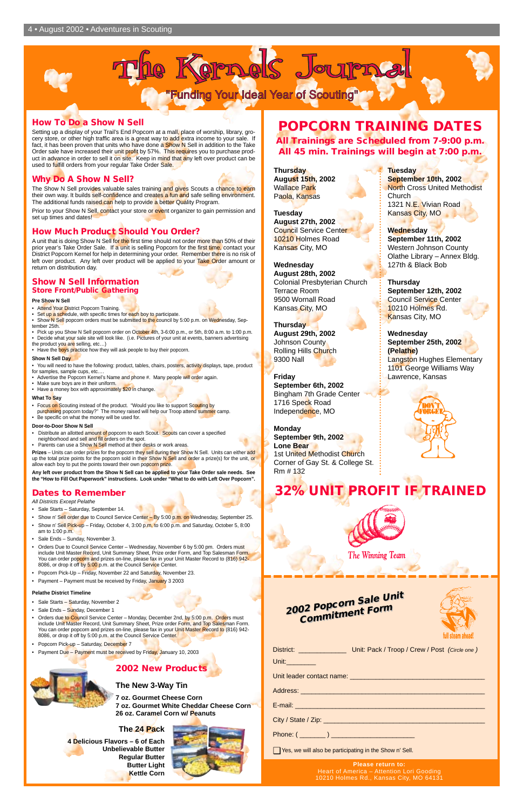

|                 | District: _______________________ Unit: Pack / Troop / Crew / Post (Circle one) |  |
|-----------------|---------------------------------------------------------------------------------|--|
| Unit:__________ |                                                                                 |  |
|                 |                                                                                 |  |
|                 |                                                                                 |  |
|                 |                                                                                 |  |
|                 |                                                                                 |  |
|                 |                                                                                 |  |

◯ Yes, we will also be participating in the Show n' Sell.

| 2002 Popcorn Sale Unit |
|------------------------|
| <b>Commitment Form</b> |
|                        |

**Please return to:** Heart of America – Attention Lori Gooding 10210 Holmes Rd., Kansas City, MO 64131



#### **How To Do a Show N Sell**

Setting up a display of your Trail's End Popcorn at a mall, place of worship, library, grocery store, or other high traffic area is a great way to add extra income to your sale. If fact, it has been proven that units who have done a Show N Sell in addition to the Take Order sale have increased their unit profit by 57%. This requires you to purchase product in advance in order to sell it on site. Keep in mind that any left over product can be used to fulfill orders from your regular Take Order Sale.

A unit that is doing Show N Sell for the first time should not order more than 50% of their prior year's Take Order Sale. If a unit is selling Popcorn for the first time, contact your District Popcorn Kernel for help in determining your order. Remember there is no risk of left over product. Any left over product will be applied to your Take Order amount or return on distribution day.

#### **Why Do A Show N Sell?**

The Show N Sell provides valuable sales training and gives Scouts a chance to earn their own way. It builds self-confidence and creates a fun and safe selling environment. The additional funds raised can help to provide a better Quality Program.

Prior to your Show N Sell, contact your store or event organizer to gain permission and set up times and dates!

- Focus on Scouting instead of the product. "Would you like to support Scouting by
- purchasing popcorn today?" The money raised will help our Troop attend summer camp.
- Be specific on what the money will be used for.

#### **How Much Product Should You Order?**

- Sale Starts Saturday, September 14.
- Show n' Sell order due to Council Service Center By 5:00 p.m. on Wednesday, September 25.
- Show n' Sell Pick-up Friday, October 4, 3:00 p.m. to 6:00 p.m. and Saturday, October 5, 8:00 am to 1:00 p.m.
- Sale Ends Sunday, November 3.
- Orders Due to Council Service Center Wednesday, November 6 by 5:00 pm. Orders must include Unit Master Record, Unit Summary Sheet, Prize order Form, and Top Salesman Form. You can order popcorn and prizes on-line, please fax in your Unit Master Record to (816) 942-8086, or drop it off by 5:00 p.m. at the Council Service Center.
- Popcorn Pick-Up Friday, November 22 and Saturday, November 23. Payment – Payment must be received by Friday, January 3 2003

#### **Show N Sell Information Store Front/Public Gathering**

#### **Pre Show N Sell**

- Attend Your District Popcorn Training.
- Set up a schedule, with specific times for each boy to participate.
- Show N Sell popcorn orders must be submitted to the council by 5:00 p.m. on Wednesday, September 25th.
- Pick up you Show N Sell popcorn order on October 4th, 3-6:00 p.m., or 5th, 8:00 a.m. to 1:00 p.m. • Decide what your sale site will look like. (i.e. Pictures of your unit at events, banners advertising
- the product you are selling, etc...)
- Have the boys practice how they will ask people to buy their popcorn.

#### **Show N Sell Day**

- You will need to have the following: product, tables, chairs, posters, activity displays, tape, product for samples, sample cups, etc.
- Advertise the Popcorn Kernel's Name and phone #. Many people will order again.
- Make sure boys are in their uniform. • Have a money box with approximately \$20 in change.

#### **What To Say**

#### **Door-to-Door Show N Sell**

- Distribute an allotted amount of popcorn to each Scout. Scouts can cover a specified neighborhood and sell and fill orders on the spot.
- Parents can use a Show N Sell method at their desks or work areas.

**Prizes** – Units can order prizes for the popcorn they sell during their Show N Sell. Units can either add up the total prize points for the popcorn sold in their Show N Sell and order a prize(s) for the unit, or allow each boy to put the points toward their own popcorn prize.

**Any left over product from the Show N Sell can be applied to your Take Order sale needs. See the "How to Fill Out Paperwork" instructions. Look under "What to do with Left Over Popcorn".**

### **Dates to Remember**

All Districts Except Pelathe

#### **Pelathe District Timeline**

## **POPCORN TRAINING DATES**

**All Trainings are Scheduled from 7-9:00 p.m. All 45 min. Trainings will begin at 7:00 p.m.**

# **32% UNIT PROFIT IF TRAINED**



**The Winning Team** 



- Sale Starts Saturday, November 2
- Sale Ends Sunday, December 1
- Orders due to Council Service Center Monday, December 2nd, by 5:00 p.m. Orders must include Unit Master Record, Unit Summary Sheet, Prize order Form, and Top Salesman Form. You can order popcorn and prizes on-line, please fax in your Unit Master Record to (816) 942-8086, or drop it off by 5:00 p.m. at the Council Service Center.
- Popcorn Pick-up Saturday, December 7
- Payment Due Payment must be received by Friday, January 10, 2003



**Thursday August 15th, 2002** Wallace Park Paola, Kansas

**Tuesday August 27th, 2002** Council Service Center 10210 Holmes Road Kansas City, MO

**Wednesday August 28th, 2002** Colonial Presbyterian Church Terrace Room 9500 Wornall Road Kansas City, MO

**Thursday August 29th, 2002** Johnson County Rolling Hills Church 9300 Nall

**Friday September 6th, 2002** Bingham 7th Grade Center 1716 Speck Road Independence, MO

**Monday September 9th, 2002 Lone Bear** 1st United Methodist Church Corner of Gay St. & College St. Rm # 132

#### **Tuesday September 10th, 2002** North Cross United Methodist Church 1321 N.E. Vivian Road Kansas City, MO

**Wednesday September 11th, 2002** Western Johnson County Olathe Library – Annex Bldg. 127th & Black Bob

**Thursday September 12th, 2002** Council Service Center 10210 Holmes Rd. Kansas City, MO

**Wednesday September 25th, 2002 (Pelathe)** Langston Hughes Elementary 1101 George Williams Way Lawrence, Kansas



#### **2002 New Products**

**The New 3-Way Tin**

**7 oz. Gourmet Cheese Corn 7 oz. Gourmet White Cheddar Cheese Corn 26 oz. Caramel Corn w/ Peanuts**

#### **The 24 Pack**

**4 Delicious Flavors – 6 of Each Unbelievable Butter Regular Butter Butter Light Kettle Corn**

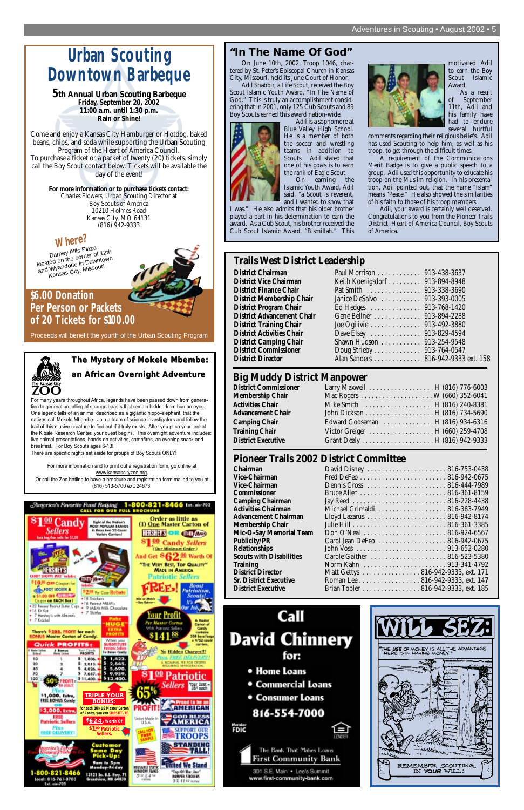### **"In The Name Of God"**

On June 10th, 2002, Troop 1046, chartered by St. Peter's Episcopal Church in Kansas City, Missouri, held its June Court of Honor.

Adil Shabbir, a Life Scout, received the Boy Scout Islamic Youth Award, "In The Name of God." This is truly an accomplishment considering that in 2001, only 125 Cub Scouts and 89 Boy Scouts earned this award nation-wide.



Adil is a sophomore at Blue Valley High School. He is a member of both the soccer and wrestling teams in addition to Scouts. Adil stated that one of his goals is to earn the rank of Eagle Scout.

On earning the Islamic Youth Award, Adil said, "a Scout is reverent, and I wanted to show that

I was." He also admits that his older brother played a part in his determination to earn the award. As a Cub Scout, his brother received the Cub Scout Islamic Award, "Bismillah." This



motivated Adil to earn the Boy Scout Islamic Award.

As a result of September 11th, Adil and his family have had to endure several hurtful

comments regarding their religious beliefs. Adil has used Scouting to help him, as well as his troop, to get through the difficult times.

A requirement of the Communications Merit Badge is to give a public speech to a group. Adil used this opportunity to educate his troop on the Muslim religion. In his presentation, Adil pointed out, that the name "Islam" means "Peace." He also showed the similarities of his faith to those of his troop members.

Adil, your award is certainly well deserved. Congratulations to you from the Pioneer Trails District, Heart of America Council, Boy Scouts of America.

For many years throughout Africa, legends have been passed down from generation to generation telling of strange beasts that remain hidden from human eyes. One legend tells of an animal described as a gigantic hippo-elephant, that the natives call Mokele Mbembe. Join a team of science investigators and follow the trail of this elusive creature to find out if it truly exists. After you pitch your tent at the Kibale Research Center, your quest begins. This overnight adventure includes: live animal presentations, hands-on activities, campfires, an evening snack and breakfast. For Boy Scouts ages 6-13!

There are specific nights set aside for groups of Boy Scouts ONLY!

For more information and to print out a registration form, go online at www.kansascityzoo.org. Or call the Zoo hotline to have a brochure and registration form mailed to you at (816) 513-5700 ext. 24673.

## **The Mystery of Mokele Mbembe:**

# **an African Overnight Adventure**

# **Urban Scouting Downtown Barbeque**

### **\$6.00 Donation Per Person or Packets of 20 Tickets for \$100.00**

Proceeds will benefit the yourth of the Urban Scouting Program

**5th Annual Urban Scouting Barbeque Friday, September 20, 2002 11:00 a.m. until 1:30 p.m. Rain or Shine!**

Come and enjoy a Kansas City Hamburger or Hotdog, baked beans, chips, and soda while supporting the Urban Scouting Program of the Heart of America Council. To purchase a ticket or a packet of twenty (20) tickets, simply call the Boy Scout contact below. Tickets will be available the day of the event!

> **For more information or to purchase tickets contact:** Charles Flowers, Urban Scouting Director at Boy Scouts of America 10210 Holmes Road Kansas City, MO 64131 (816) 942-9333

### **Where?**

Barney Allis Plaza located on the corner of 12th and Wyandotte in Downtown Kansas City, Missouri



### **Pioneer Trails 2002 District Committee**

| Chairman                        | <b>David</b>       |
|---------------------------------|--------------------|
| <b>Vice-Chairman</b>            | Fred D             |
| <b>Vice-Chairman</b>            | Dennis             |
| Commissioner                    | Bruce <sub>1</sub> |
| <b>Camping Chairman</b>         | Jay Ree            |
| <b>Activities Chairman</b>      | Michae             |
| <b>Advancement Chairman</b>     | Lloyd l            |
| <b>Membership Chair</b>         | Julie H            |
| Mic-O-Say Memorial Team         | Don C              |
| <b>Publicity/PR</b>             | Carol J            |
| Relationships                   | John V             |
| <b>Scouts with Disabilities</b> | Carole             |
| <b>Training</b>                 | Norm               |
| <b>District Director</b>        | Matt C             |
| <b>Sr. District Executive</b>   | Romar              |
| <b>District Executive</b>       | Brian T            |

| <b>Chairman</b>                 |                                     |  |
|---------------------------------|-------------------------------------|--|
| <b>Vice-Chairman</b>            |                                     |  |
| <b>Vice-Chairman</b>            |                                     |  |
| Commissioner                    |                                     |  |
| <b>Camping Chairman</b>         |                                     |  |
| <b>Activities Chairman</b>      | Michael Grimaldi 816-363-7949       |  |
| Advancement Chairman            |                                     |  |
| Membership Chair                |                                     |  |
| Mic-O-Say Memorial Team         |                                     |  |
| <b>Publicity/PR</b>             | Carol Jean DeFeo 816-942-0675       |  |
| <b>Relationships</b>            |                                     |  |
| <b>Scouts with Disabilities</b> | Carole Gaither  816-523-5380        |  |
| <b>Training</b>                 |                                     |  |
| <b>District Director</b>        | Matt Gettys  816-942-9333, ext. 171 |  |
| <b>Sr. District Executive</b>   | Roman Lee 816-942-9333, ext. 147    |  |
| <b>District Executive</b>       | Brian Tobler 816-942-9333, ext. 185 |  |
|                                 |                                     |  |





### **Big Muddy District Manpower**

| <b>District Commissioner</b> |                                  |  |
|------------------------------|----------------------------------|--|
| Membership Chair             |                                  |  |
| <b>Activities Chair</b>      |                                  |  |
| <b>Advancement Chair</b>     |                                  |  |
| <b>Camping Chair</b>         | Edward Gooseman H (816) 934-6316 |  |
| <b>Training Chair</b>        | Victor Greiger H (660) 259-4708  |  |
| <b>District Executive</b>    |                                  |  |

### **Trails West District Leadership**

**District Chairman District Vice Chairman District Finance Chair** . **District Membership Chair District Program Chair District Advancement Chair District Training Chair District Activities Chair District Camping Chair**  $\blacksquare$ **District Commissioner District Director** 

| Paul Morrison 913-438-3637         |  |
|------------------------------------|--|
| Keith Koenigsdorf 913-894-8948     |  |
| Pat Smith  913-338-3690            |  |
| Janice DeSalvo  913-393-0005       |  |
| Ed Hedges 913-768-1420             |  |
| Gene Bellner  913-894-2288         |  |
| Joe Ogilivie 913-492-3880          |  |
| Dave Elsey 913-829-4594            |  |
| Shawn Hudson  913-254-9548         |  |
| Doug Strieby 913-764-0547          |  |
| Alan Sanders 816-942-9333 ext. 158 |  |
|                                    |  |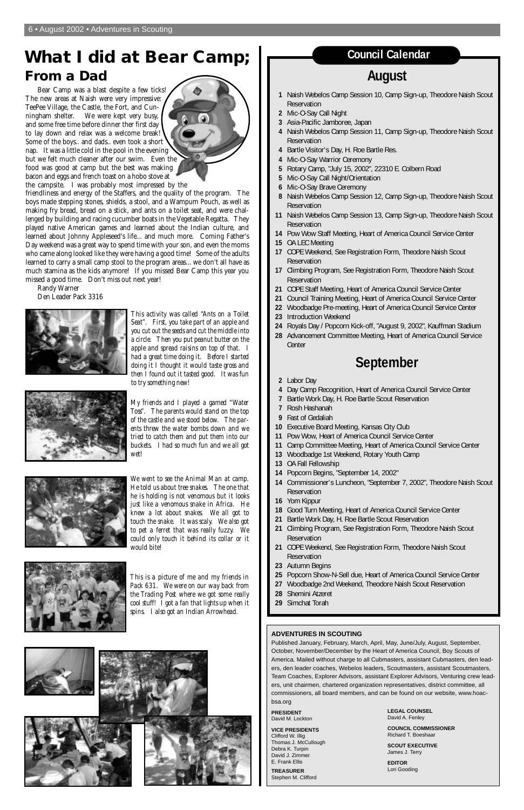## **What I did at Bear Camp; From a Dad**

Bear Camp was a blast despite a few ticks! The new areas at Naish were very impressive: TeePee Village, the Castle, the Fort, and Cunningham shelter. We were kept very busy, and some free time before dinner ther first day to lay down and relax was a welcome break! Some of the boys.. and dads.. even took a short nap. It was a little cold in the pool in the evening but we felt much cleaner after our swim. Even the food was good at camp but the best was making bacon and eggs and french toast on a hobo stove at the campsite. I was probably most impressed by the



friendliness and energy of the Staffers, and the quality of the program. The boys made stepping stones, shields, a stool, and a Wampum Pouch, as well as making fry bread, bread on a stick, and ants on a toilet seat, and were challenged by building and racing cucumber boats in the Vegetable Regatta. They played native American games and learned about the Indian culture, and learned about Johnny Appleseed's life... and much more. Coming Father's Day weekend was a great way to spend time with your son, and even the moms who came along looked like they were having a good time! Some of the adults learned to carry a small camp stool to the program areas... we don't all have as much stamina as the kids anymore! If you missed Bear Camp this year you missed a good time. Don't miss out next year!

Randy Warner Den Leader Pack 3316



*This activity was called "Ants on a Toilet Seat". First, you take part of an apple and you cut out the seeds and cut the middle into a circle. Then you put peanut butter on the apple and spread raisins on top of that. I had a great time doing it. Before I started doing it I thought it would taste gross and then I found out it tasted good. It was fun to try something new!*



*My friends and I played a gamed "Water Toss". The parents would stand on the top of the castle and we stood below. The parents threw the water bombs down and we tried to catch them and put them into our buckets. I had so much fun and we all got wet!*



*We went to see the Animal Man at camp. He told us about tree snakes. The one that he is holding is not venomous but it looks just like a venomous snake in Africa. He knew a lot about snakes. We all got to touch the snake. It was scaly. We also got to pet a ferret that was really fuzzy. We could only touch it behind its collar or it would bite!*



*This is a picture of me and my friends in Pack 631. We were on our way back from the Trading Post where we got some really cool stuff! I got a fan that lights up when it spins. I also got an Indian Arrowhead.*

#### **ADVENTURES IN SCOUTING**

Published January, February, March, April, May, June/July, August, September, October, November/December by the Heart of America Council, Boy Scouts of America. Mailed without charge to all Cubmasters, assistant Cubmasters, den leaders, den leader coaches, Webelos leaders, Scoutmasters, assistant Scoutmasters, Team Coaches, Explorer Advisors, assistant Explorer Advisors, Venturing crew leaders, unit chairmen, chartered organization representatives, district committee, all commissioners, all board members, and can be found on our website, www.hoacbsa.org

**PRESIDENT** David M. Lockton

**VICE PRESIDENTS** Clifford W. Illig Thomas J. McCullough Debra K. Turpin David J. Zimmer E. Frank Ellis

**TREASURER** Stephen M. Clifford **LEGAL COUNSEL** David A. Fenley

**COUNCIL COMMISSIONER** Richard T. Boeshaar

**SCOUT EXECUTIVE** James J. Terry

**EDITOR** Lori Gooding

## **August**

- **1** Naish Webelos Camp Session 10, Camp Sign-up, Theodore Naish Scout Reservation
- **2** Mic-O-Say Call Night
- **3** Asia-Pacific Jamboree, Japan
- **4** Naish Webelos Camp Session 11, Camp Sign-up, Theodore Naish Scout Reservation
- **4** Bartle Visitor's Day, H. Roe Bartle Res.
- **4** Mic-O-Say Warrior Ceremony
- **5** Rotary Camp, "July 15, 2002", 22310 E. Colbern Road
- **5** Mic-O-Say Call Night/Orientation
- **6** Mic-O-Say Brave Ceremony
- **8** Naish Webelos Camp Session 12, Camp Sign-up, Theodore Naish Scout Reservation
- **11** Naish Webelos Camp Session 13, Camp Sign-up, Theodore Naish Scout Reservation
- **14** Pow Wow Staff Meeting, Heart of America Council Service Center
- **15** OA LEC Meeting
- **17** COPE Weekend, See Registration Form, Theodore Naish Scout Reservation
- **17** Climbing Program, See Registration Form, Theodore Naish Scout Reservation
- **21** COPE Staff Meeting, Heart of America Council Service Center
- **21** Council Training Meeting, Heart of America Council Service Center
- **22** Woodbadge Pre-meeting, Heart of America Council Service Center
- **23** Introduction Weekend
- **24** Royals Day / Popcorn Kick-off, "August 9, 2002", Kauffman Stadium
- **28** Advancement Committee Meeting, Heart of America Council Service Center

## **September**

- **2** Labor Day
- **4** Day Camp Recognition, Heart of America Council Service Center
- **7** Bartle Work Day, H. Roe Bartle Scout Reservation
- **7** Rosh Hashanah
- **9** Fast of Gedaliah
- **10** Executive Board Meeting, Kansas City Club
- **11** Pow Wow, Heart of America Council Service Center
- **11** Camp Committee Meeting, Heart of America Council Service Center
- **13** Woodbadge 1st Weekend, Rotary Youth Camp
- **13** OA Fall Fellowship
- **14** Popcorn Begins, "September 14, 2002"
- **14** Commissioner's Luncheon, "September 7, 2002", Theodore Naish Scout Reservation
- **16** Yom Kippur
- **18** Good Turn Meeting, Heart of America Council Service Center
- **21** Bartle Work Day, H. Roe Bartle Scout Reservation
- **21** Climbing Program, See Registration Form, Theodore Naish Scout Reservation
- **21** COPE Weekend, See Registration Form, Theodore Naish Scout Reservation
- **23** Autumn Begins
- **25** Popcorn Show-N-Sell due, Heart of America Council Service Center
- **27** Woodbadge 2nd Weekend, Theodore Naish Scout Reservation
- **28** Shemini Atzeret









- 
- **29** Simchat Torah

### **Council Calendar**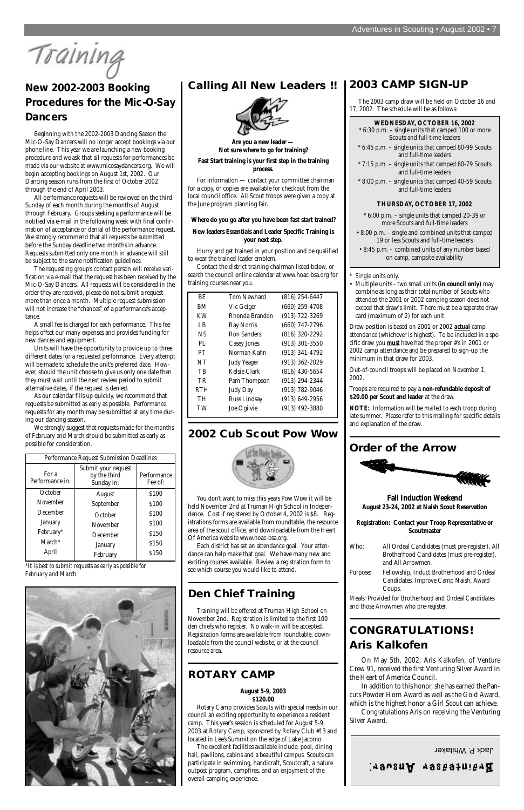Training

### **2003 CAMP SIGN-UP**

The 2003 camp draw will be held on October 16 and 17, 2002. The schedule will be as follows:

• Multiple units - two small units **(in council only)** may combine as long as their total number of Scouts who attended the 2001 or 2002 camping season does not exceed that draw's limit. There must be a separate draw card (maximum of 2) for each unit.

Draw position is based on 2001 or 2002 *actual* camp attendance (whichever is highest). To be included in a specific draw you *must* have had the proper #'s in 2001 or 2002 camp attendance and be prepared to sign-up the minimum in that draw for 2003.

Out-of-council troops will be placed on November 1, 2002.

Troops are required to pay a **non-refundable deposit of \$20.00 per Scout and leader** at the draw.

**NOTE:** Information will be mailed to each troop during late summer. Please refer to this mailing for specific details and explanation of the draw.

### **Order of the Arrow**



**Fall Induction Weekend August 23-24, 2002 at Naish Scout Reservation**

**Registration: Contact your Troop Representative or Scoutmaster**

| Who:     | All Ordeal Candidates (must pre-register), All<br>Brotherhood Candidates (must pre-register),<br>and All Arrowmen. |
|----------|--------------------------------------------------------------------------------------------------------------------|
| Purpose: | Fellowship, Induct Brotherhood and Ordeal<br>Candidates, Improve Camp Naish, Award<br>Coups.                       |



Meals: Provided for Brotherhood and Ordeal Candidates and those Arrowmen who pre-register.

## **CONGRATULATIONS! Aris Kalkofen**

On May 5th, 2002, Aris Kalkofen, of Venture Crew 91, received the first Venturing Silver Award in the Heart of America Council.

In addition to this honor, she has earned the Pancuts Powder Horn Award as well as the Gold Award, which is the highest honor a Girl Scout can achieve.

Congratulations Aris on receiving the Venturing Silver Award.

## **New 2002-2003 Booking Procedures for the Mic-O-Say Dancers**

Beginning with the 2002-2003 Dancing Season the Mic-O-Say Dancers will no longer accept bookings via our phone line. This year we are launching a new booking procedure and we ask that all requests for performances be made via our website at www.micosaydancers.org. We will begin accepting bookings on August 1st, 2002. Our Dancing season runs from the first of October 2002 through the end of April 2003.

All performance requests will be reviewed on the third Sunday of each month during the months of August through February. Groups seeking a performance will be notified via e-mail in the following week with final confirmation of acceptance or denial of the performance request. We strongly recommend that all requests be submitted before the Sunday deadline two months in advance. Requests submitted only one month in advance will still be subject to the same notification guidelines.

The requesting group's contact person will receive verification via e-mail that the request has been received by the Mic-O-Say Dancers. All requests will be considered in the order they are received, please do not submit a request more than once a month. Multiple request submission will not increase the "chances" of a performance's acceptance.

A small fee is charged for each performance. This fee helps offset our many expenses and provides funding for new dances and equipment.

Units will have the opportunity to provide up to three different dates for a requested performance. Every attempt will be made to schedule the unit's preferred date. However, should the unit choose to give us only one date then they must wait until the next review period to submit alternative dates, if the request is denied.

As our calendar fills up quickly, we recommend that requests be submitted as early as possible. Performance requests for any month may be submitted at any time during our dancing season.

We strongly suggest that requests made for the months of February and March should be submitted as early as possible for consideration.

*\*It is best to submit requests as early as possible for February and March.*

### **Calling All New Leaders !!**



**Are you a new leader — Not sure where to go for training?** 

#### **Fast Start training is your first step in the training process.**

For information — contact your committee chairman for a copy, or copies are available for checkout from the local council office. All Scout troops were given a copy at the June program planning fair.

#### **Where do you go after you have been fast start trained?**

#### **New leaders Essentials and Leader Specific Training is your next step.**

Hurry and get trained in your position and be qualified to wear the trained leader emblem.

Contact the district training chairman listed below, or search the council online calendar at www.hoac-bsa.org for training courses near you.

### **2002 Cub Scout Pow Wow**



You don't want to miss this years Pow Wow it will be held November 2nd at Truman High School in Independence. Cost if registered by October 4, 2002 is \$8. Registrations forms are available from roundtable, the resource area of the scout office, and downloadable from the Heart Of America website www.hoac-bsa.org.

Each district has set an attendance goal. Your attendance can help make that goal. We have many new and exciting courses available. Review a registration form to see which course you would like to attend.

### **Den Chief Training**

Training will be offered at Truman High School on November 2nd. Registration is limited to the first 100 den chiefs who register. No walk-in will be accepted. Registration forms are available from roundtable, downloadable from the council website, or at the council resource area.

### **ROTARY CAMP**

#### **August 5-9, 2003 \$120.00**

Rotary Camp provides Scouts with special needs in our council an exciting opportunity to experience a resident camp. This year's session is scheduled for August 5-9, 2003 at Rotary Camp, sponsored by Rotary Club #13 and located in Lee's Summit on the edge of Lake Jacomo.

The excellent facilities available include: pool, dining hall, pavilions, cabins and a beautiful campus. Scouts can participate in swimming, handicraft, Scoutcraft, a nature outpost program, campfires, and an enjoyment of the overall camping experience.

| BE.        | <b>Tom Newhard</b> | $(816)$ 254-6447   |
|------------|--------------------|--------------------|
| BМ         | Vic Geiger         | $(660)$ 259-4708   |
| KW         | Rhonda Brandon     | $(913)$ 722-3269   |
| LB         | Ray Norris         | (660) 747-2796     |
| <b>NS</b>  | <b>Ron Sanders</b> | $(816)$ 320-2292   |
| PI.        | <b>Casey Jones</b> | $(913)$ 301-3550   |
| PT         | Norman Kahn        | $(913)$ 341-4792   |
| NT         | <b>Judy Yeager</b> | $(913)$ 362-2029   |
| TB         | Kelsie Clark       | $(816)$ 430-5654   |
| TR         | Pam Thompson       | $(913) 294 - 2344$ |
| <b>RTH</b> | <b>Judy Day</b>    | $(913) 782 - 9046$ |
| TH         | Russ Lindsay       | $(913) 649 - 2956$ |
| TW         | Joe Ogilvie        | $(913)$ 492-3880   |
|            |                    |                    |

| Performance Request Submission Deadlines |                                                   |                        |
|------------------------------------------|---------------------------------------------------|------------------------|
| For a<br>Performance in:                 | Submit your request<br>by the third<br>Sunday in: | Performance<br>Fee of: |
| October                                  | August                                            | \$100                  |
| November                                 | September                                         | \$100                  |
| December                                 | October                                           | \$100                  |
| January                                  | November                                          | \$100                  |
| February*                                | December                                          | \$150                  |
| $March*$                                 | January                                           | \$150                  |
| April                                    | February                                          | \$150                  |

**WEDNESDAY, OCTOBER 16, 2002**

- \* 6:30 p.m. single units that camped 100 or more Scouts and full-time leaders
- \* 6:45 p.m. single units that camped 80-99 Scouts and full-time leaders
- \* 7:15 p.m. single units that camped 60-79 Scouts and full-time leaders
- \* 8:00 p.m. single units that camped 40-59 Scouts and full-time leaders

#### **THURSDAY, OCTOBER 17, 2002**

- \* 6:00 p.m. single units that camped 20-39 or more Scouts and full-time leaders
- 8:00 p.m. single and combined units that camped 19 or less Scouts and full-time leaders
- 8:45 p.m. combined units of any number based on camp, campsite availability

#### Single units only.

Jack P. Whitaker

### Srainteasea.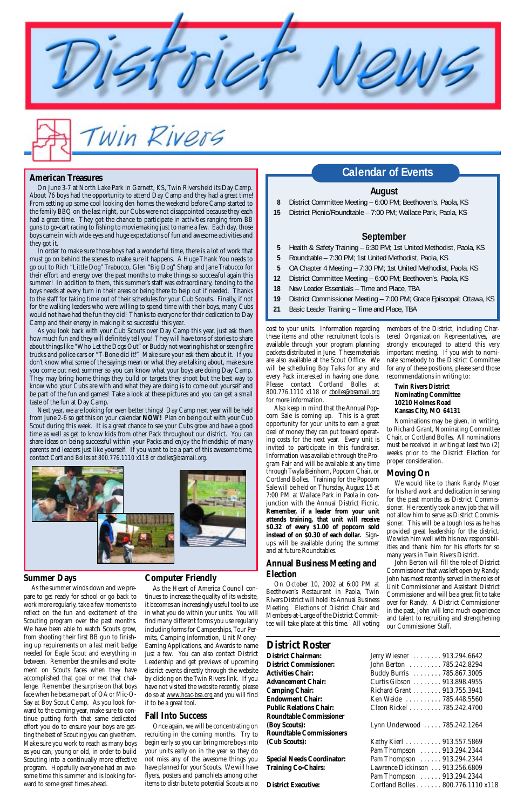cost to your units. Information regarding these items and other recruitment tools is available through your program planning packets distributed in June. These materials are also available at the Scout Office. We will be scheduling Boy Talks for any and every Pack interested in having one done. Please contact *Cortland Bolles at 800.776.1110 x118 or cbolles@bsamail.org* for more information.

Also keep in mind that the Annual Popcorn Sale is coming up. This is a great opportunity for your units to earn a great deal of money they can put toward operating costs for the next year. Every unit is invited to participate in this fundraiser. Information was available through the Program Fair and will be available at any time through Twyla Beinhorn, Popcorn Chair, or Cortland Bolles. Training for the Popcorn Sale will be held on Thursday, August 15 at 7:00 PM at Wallace Park in Paola in conjunction with the Annual District Picnic. **Remember, if a leader from your unit attends training, that unit will receive \$0.32 of every \$1.00 of popcorn sold instead of on \$0.30 of each dollar.** Signups will be available during the summer and at future Roundtables.

#### **Annual Business Meeting and Election**

On October 10, 2002 at 6:00 PM at Beethoven's Restaurant in Paola, Twin

Rivers District will hold its Annual Business Meeting. Elections of District Chair and Members-at-Large of the District Committee will take place at this time. All voting

#### **August**

- **8** District Committee Meeting 6:00 PM; Beethoven's, Paola, KS
- **15** District Picnic/Roundtable 7:00 PM; Wallace Park, Paola, KS

#### **September**

- **5** Health & Safety Training 6:30 PM; 1st United Methodist, Paola, KS
- **5** Roundtable 7:30 PM; 1st United Methodist, Paola, KS
- **5** OA Chapter 4 Meeting 7:30 PM; 1st United Methodist, Paola, KS
- **12** District Committee Meeting 6:00 PM; Beethoven's, Paola, KS
- **18** New Leader Essentials Time and Place, TBA
- **19** District Commissioner Meeting 7:00 PM; Grace Episcopal; Ottawa, KS
- **21** Basic Leader Training Time and Place, TBA

## **Calendar of Events American Treasures**

On June 3-7 at North Lake Park in Garnett, KS, Twin Rivers held its Day Camp. About 76 boys had the opportunity to attend Day Camp and they had a great time! From setting up some cool looking den homes the weekend before Camp started to the family BBQ on the last night, our Cubs were not disappointed because they each had a great time. They got the chance to participate in activities ranging from BB guns to go-cart racing to fishing to moviemaking just to name a few. Each day, those boys came in with wide eyes and huge expectations of fun and awesome activities and they got it.

Win Rivers

In order to make sure those boys had a wonderful time, there is a lot of work that must go on behind the scenes to make sure it happens. A Huge Thank You needs to go out to Rich "Little Dog" Trabucco, Glen "Big Dog" Sharp and Jane Trabucco for their effort and energy over the past months to make things so successful again this summer! In addition to them, this summer's staff was extraordinary, tending to the boys needs at every turn in their areas or being there to help out if needed. Thanks to the staff for taking time out of their schedules for your Cub Scouts. Finally, if not for the walking leaders who were willing to spend time with their boys, many Cubs would not have had the fun they did! Thanks to everyone for their dedication to Day Camp and their energy in making it so successful this year.

As you look back with your Cub Scouts over Day Camp this year, just ask them how much fun and they will definitely tell you! They will have tons of stories to share about things like "Who Let the Dogs Out" or Buddy not wearing his hat or seeing fire trucks and police cars or "T-Bone did it!" Make sure your ask them about it. If you don't know what some of the sayings mean or what they are talking about, make sure you come out next summer so you can know what your boys are doing Day Camp. They may bring home things they build or targets they shoot but the best way to know who your Cubs are with and what they are doing is to come out yourself and be part of the fun and games! Take a look at these pictures and you can get a small taste of the fun at Day Camp.

Next year, we are looking for even better things! Day Camp next year will be held from June 2-6 so get this on your calendar **NOW!** Plan on being out with your Cub Scout during this week. It is a great chance to see your Cubs grow and have a good time as well as get to know kids from other Pack throughout our district. You can share ideas on being successful within your Packs and enjoy the friendship of many parents and leaders just like yourself. If you want to be a part of this awesome time, contact *Cortland Bolles at 800.776.1110 x118 or cbolles@bsamail.org*.



#### **District Roster**

**District Chairman: District Commissioner: Activities Chair: Advancement Chair: Camping Chair: Endowment Chair: Public Relations Chair: Roundtable Commissioner (Boy Scouts): Roundtable Commissioners (Cub Scouts):** 

**Special Needs Coordinator: Training Co-Chairs:** 

| Jerry Wiesner  913.294.6642<br>John Berton  785.242.8294<br>Buddy Burris  785.867.3005<br>Curtis Gibson  913.898.4955  |
|------------------------------------------------------------------------------------------------------------------------|
| Richard Grant 913.755.3941<br>Ken Weide 785.448.5560<br>Cleon Rickel 785.242.4700                                      |
| Lynn Underwood  785.242.1264                                                                                           |
| Kathy Kierl 913.557.5869<br>Pam Thompson  913.294.2344<br>Pam Thompson 913.294.2344<br>Lawrence Dickinson 913.256.6809 |
| Pam Thompson 913.294.2344                                                                                              |

**District Executive:** Cortland Bolles . . . . . . . 800.776.1110 x118

members of the District, including Chartered Organization Representatives, are strongly encouraged to attend this very important meeting. If you wish to nominate somebody to the District Committee for any of these positions, please send those recommendations in writing to:

#### **Twin Rivers District Nominating Committee 10210 Holmes Road Kansas City, MO 64131**

Nominations may be given, in writing, to Richard Grant, Nominating Committee Chair, or Cortland Bolles. All nominations must be received in writing at least two (2) weeks prior to the District Election for proper consideration.

#### **Moving On**

We would like to thank Randy Moser for his hard work and dedication in serving for the past months as District Commissioner. He recently took a new job that will not allow him to serve as District Commissioner. This will be a tough loss as he has provided great leadership for the district. We wish him well with his new responsibilities and thank him for his efforts for so many years in Twin Rivers District.

John Berton will fill the role of District Commissioner that was left open by Randy. John has most recently served in the roles of Unit Commissioner and Assistant District Commissioner and will be a great fit to take over for Randy. A District Commissioner in the past, John will lend much experience and talent to recruiting and strengthening our Commissioner Staff.

#### **Computer Friendly**

As the Heart of America Council continues to increase the quality of its website, it becomes an increasingly useful tool to use in what you do within your units. You will find many different forms you use regularly including forms for Camperships, Tour Permits, Camping information, Unit Money-Earning Applications, and Awards to name just a few. You can also contact District Leadership and get previews of upcoming district events directly through the website by clicking on the Twin Rivers link. If you have not visited the website recently, please do so at *www.hoac-bsa.org* and you will find it to be a great tool.

### **Fall Into Success**

Once again, we will be concentrating on recruiting in the coming months. Try to begin early so you can bring more boys into your units early on in the year so they do not miss any of the awesome things you have planned for your Scouts. We will have flyers, posters and pamphlets among other items to distribute to potential Scouts at no

#### **Summer Days**

As the summer winds down and we prepare to get ready for school or go back to work more regularly, take a few moments to reflect on the fun and excitement of the Scouting program over the past months. We have been able to watch Scouts grow, from shooting their first BB gun to finishing up requirements on a last merit badge needed for Eagle Scout and everything in between. Remember the smiles and excitement on Scouts faces when they have accomplished that goal or met that challenge. Remember the surprise on that boys face when he became part of OA or Mic-O-Say at Boy Scout Camp. As you look forward to the coming year, make sure to continue putting forth that same dedicated effort you do to ensure your boys are getting the best of Scouting you can give them. Make sure you work to reach as many boys as you can, young or old, in order to build Scouting into a continually more effective program. Hopefully everyone had an awesome time this summer and is looking forward to some great times ahead.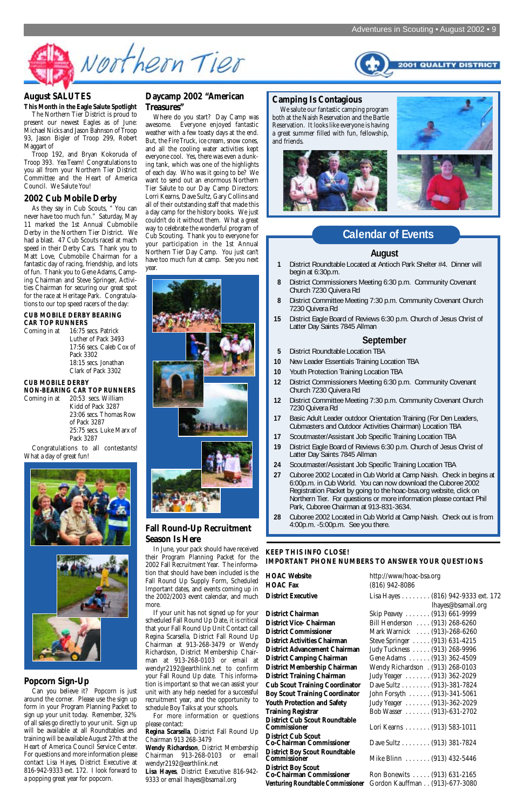

#### **Daycamp 2002 "American Treasures"**

Where do you start? Day Camp was awesome. Everyone enjoyed fantastic weather with a few toasty days at the end. But, the Fire Truck, ice cream, snow cones, and all the cooling water activities kept everyone cool. Yes, there was even a dunking tank, which was one of the highlights of each day. Who was it going to be? We want to send out an enormous Northern Tier Salute to our Day Camp Directors: Lorri Kearns, Dave Sultz, Gary Collins and all of their outstanding staff that made this a day camp for the history books. We just couldn't do it without them. What a great way to celebrate the wonderful program of Cub Scouting. Thank you to everyone for your participation in the 1st Annual Northern Tier Day Camp. You just can't have too much fun at camp. See you next year.



#### **Fall Round-Up Recruitment Season Is Here**

In June, your pack should have received their Program Planning Packet for the 2002 Fall Recruitment Year. The information that should have been included is the Fall Round Up Supply Form, Scheduled Important dates, and events coming up in the 2002/2003 event calendar, and much more.

If your unit has not signed up for your scheduled Fall Round Up Date, it is critical that your Fall Round Up Unit Contact call Regina Scarsella, District Fall Round Up Chairman at 913-268-3479 or Wendy Richardson, District Membership Chairman at 913-268-0103 or email at wendyr2192@earthlink.net to confirm your Fall Round Up date. This information is important so that we can assist your unit with any help needed for a successful recruitment year, and the opportunity to schedule Boy Talks at your schools.

For more information or questions please contact:

**Regina Scarsella**, District Fall Round Up Chairman 913 268-3479

**Wendy Richardson**, District Membership Chairman 913-268-0103 or email wendyr2192@earthlink.net

**Lisa Hayes**, District Executive 816-942- 9333 or email lhayes@bsamail.org

### **August SALUTES**

**This Month in the Eagle Salute Spotlight**

The Northern Tier District is proud to present our newest Eagles as of June: Michael Nicks and Jason Bahnson of Troop 93, Jason Bigler of Troop 299, Robert Maggart of

Troop 192, and Bryan Kokoruda of Troop 393. Yea Team! Congratulations to you all from your Northern Tier District Committee and the Heart of America Council. We Salute You!

#### **2002 Cub Mobile Derby**

As they say in Cub Scouts, " You can never have too much fun." Saturday, May 11 marked the 1st Annual Cubmobile Derby in the Northern Tier District. We had a blast. 47 Cub Scouts raced at mach speed in their Derby Cars. Thank you to Matt Love, Cubmobile Chairman for a fantastic day of racing, friendship, and lots of fun. Thank you to Gene Adams, Camping Chairman and Steve Springer, Activities Chairman for securing our great spot for the race at Heritage Park. Congratulations to our top speed racers of the day:

#### **CUB MOBILE DERBY BEARING CAR TOP RUNNERS**

Coming in at 16:75 secs. Patrick Luther of Pack 3493 17:56 secs. Caleb Cox of Pack 3302 18:15 secs. Jonathan Clark of Pack 3302

#### **CUB MOBILE DERBY**

**NON-BEARING CAR TOP RUNNERS** Coming in at 20:53 secs. William Kidd of Pack 3287 23:06 secs. Thomas Row of Pack 3287 25:75 secs. Luke Marx of Pack 3287

> **Boy Scout Training Coordinator**<br>Youth Protection and Safety **District Cub Scout Roundtable District Cub Scout District Boy Scout Roundtable District Boy Scout**

Congratulations to all contestants! What a day of great fun!





#### **Popcorn Sign-Up**

Can you believe it? Popcorn is just around the corner. Please use the sign up form in your Program Planning Packet to sign up your unit today. Remember, 32% of all sales go directly to your unit. Sign up will be available at all Roundtables and training will be available August 27th at the Heart of America Council Service Center. For questions and more information please contact *Lisa Hayes*, District Executive at 816-942-9333 ext. 172. I look forward to a popping great year for popcorn.

#### **August**

- **1** District Roundtable Located at Antioch Park Shelter #4. Dinner will begin at 6:30p.m.
- **8** District Commissioners Meeting 6:30 p.m. Community Covenant Church 7230 Quivera Rd
- **8** District Committee Meeting 7:30 p.m. Community Covenant Church 7230 Quivera Rd
- **15** District Eagle Board of Reviews 6:30 p.m. Church of Jesus Christ of Latter Day Saints 7845 Allman

#### **September**

- **5** District Roundtable Location TBA
- **10** New Leader Essentials Training Location TBA
- **10** Youth Protection Training Location TBA
- **12** District Commissioners Meeting 6:30 p.m. Community Covenant Church 7230 Quivera Rd
- **12** District Committee Meeting 7:30 p.m. Community Covenant Church 7230 Quivera Rd
- **17** Basic Adult Leader outdoor Orientation Training (For Den Leaders, Cubmasters and Outdoor Activities Chairman) Location TBA
- **17** Scoutmaster/Assistant Job Specific Training Location TBA
- **19** District Eagle Board of Reviews 6:30 p.m. Church of Jesus Christ of Latter Day Saints 7845 Allman
- **24** Scoutmaster/Assistant Job Specific Training Location TBA
- **27** Cuboree 2002 Located in Cub World at Camp Naish. Check in begins at 6:00p.m. in Cub World. You can now download the Cuboree 2002 Registration Packet by going to the hoac-bsa.org website, click on Northern Tier. For questions or more information please contact Phil Park, Cuboree Chairman at 913-831-3634.
- **28** Cuboree 2002 Located in Cub World at Camp Naish. Check out is from 4:00p.m. -5:00p.m. See you there.

### **Calendar of Events**

#### **KEEP THIS INFO CLOSE! IMPORTANT PHONE NUMBERS TO ANSWER YOUR QUESTIONS**

| <b>HOAC Website</b> | http://www/hoac-bsa.org |  |
|---------------------|-------------------------|--|
| <b>HOAC Fax</b>     | $(816)$ 942-8086        |  |
| <b>P.</b> P         | $\sqrt{24}$             |  |

**HOAC Fax** (816) 942-8086 **District Executive** Lisa Hayes . . . . . . . . (816) 942-9333 ext. 172 lhayes@bsamail.org **District Chairman** Skip Peavey . . . . . . . (913) 661-9999<br> **District Vice- Chairman** Bill Henderson . . . . (913) 268-6260 **District Vice- Chairman** Bill Henderson . . . . (913) 268-6260<br> **District Commissioner** Mark Warnick . . . . (913)-268-6260 **District Commissioner** Mark Warnick . . . . (913)-268-6260 **District Activities Chairman** Steve Springer . . . . . (913) 631-4215 **District Advancement Chairman** Judy Tuckness . . . . . (913) 268-9996 **District Camping Chairman** Gene Adams . . . . . . (913) 362-4509 **District Membership Chairman** Wendy Richardson . (913) 268-0103 **District Training Chairman** Judy Yeager . . . . . . . (913) 362-2029 **Cub Scout Training Coordinator** Dave Sultz . . . . . . . . (913)-381-7824<br>**Boy Scout Training Coordinator** John Forsyth . . . . . . (913)-341-5061 **Youth Protection and Safety** Judy Yeager . . . . . . . (913)-362-2029 **Training Registrar** Bob Wasser . . . . . . . (913)-631-2702 Lori Kearns . . . . . . . (913) 583-1011 Dave Sultz . . . . . . . . (913) 381-7824 **Commissioner** Mike Blinn . . . . . . . (913) 432-5446 **Ron Bonewits . . . . . (913) 631-2165 Venturing Roundtable Commissioner** Gordon Kauffman . . (913)-677-3080

#### **Camping Is Contagious**

We salute our fantastic camping program both at the Naish Reservation and the Bartle Reservation. It looks like everyone is having a great summer filled with fun, fellowship, and friends.





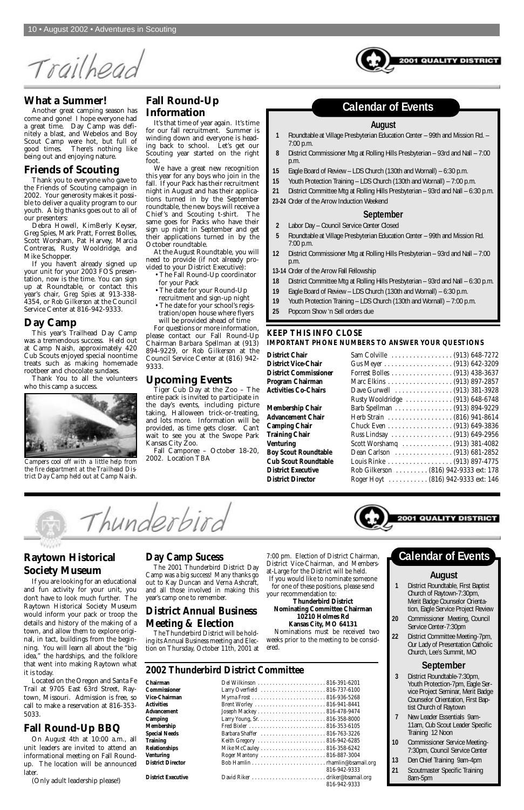Trailhead



Another great camping season has come and gone! I hope everyone had a great time. Day Camp was definitely a blast, and Webelos and Boy Scout Camp were hot, but full of good times. There's nothing like being out and enjoying nature.

#### **Friends of Scouting**

Thank you to everyone who gave to the Friends of Scouting campaign in 2002. Your generosity makes it possible to deliver a quality program to our youth. A big thanks goes out to all of our presenters:

Debra Howell, KimBerly Keyser, Greg Spies, Mark Pratt, Forrest Bolles, Scott Worsham, Pat Harvey, Marcia Contreras, Rusty Wooldridge, and Mike Schopper.

If you haven't already signed up your unit for your 2003 FOS presentation, now is the time. You can sign up at Roundtable, or contact this year's chair, *Greg Spies* at 913-338- 4354, or *Rob Gilkerson* at the Council Service Center at 816-942-9333.

#### **Day Camp**

This year's Trailhead Day Camp was a tremendous success. Held out at Camp Naish, approximately 420 Cub Scouts enjoyed special noontime treats such as making homemade rootbeer and chocolate sundaes.

Thank You to all the volunteers who this camp a success.

### **Fall Round-Up Information**

It's that time of year again. It's time for our fall recruitment. Summer is winding down and everyone is heading back to school. Let's get our Scouting year started on the right foot.

We have a great new recognition this year for any boys who join in the fall. If your Pack has their recruitment night in August and has their applications turned in by the September roundtable, the new boys will receive a Chief's and Scouting t-shirt. The same goes for Packs who have their sign up night in September and get their applications turned in by the October roundtable.

At the August Roundtable, you will need to provide (if not already provided to your District Executive):

- The Fall Round-Up coordinator for your Pack
- The date for your Round-Up
- recruitment and sign-up night
- The date for your school's registration/open house where flyers will be provided ahead of time

For questions or more information, please contact our Fall Round-Up Chairman *Barbara Spellman* at (913) 894-9229, or *Rob Gilkerson* at the Council Service Center at (816) 942- 9333.

#### **Upcoming Events**

Tiger Cub Day at the Zoo – The entire pack is invited to participate in the day's events, including picture taking, Halloween trick-or-treating, and lots more. Information will be provided, as time gets closer. Can't wait to see you at the Swope Park Kansas City Zoo.

Fall Camporee – October 18-20, 2002. Location TBA

#### **August**

- **1** Roundtable at Village Presbyterian Education Center 99th and Mission Rd. 7:00 p.m.
- **8** District Commissioner Mtg at Rolling Hills Presbyterian 93rd and Nall 7:00 p.m.
- **15** Eagle Board of Review LDS Church (130th and Wornall) 6:30 p.m.
- **15** Youth Protection Training LDS Church (130th and Wornall) 7:00 p.m.
- **21** District Committee Mtg at Rolling Hills Presbyterian 93rd and Nall 6:30 p.m.
- **23-24** Order of the Arrow Induction Weekend

#### **September**

for one of these positions, please send our recommendation to<sup>.</sup>

- **2** Labor Day Council Service Center Closed
- **5** Roundtable at Village Presbyterian Education Center 99th and Mission Rd. 7:00 p.m.
- **12** District Commissioner Mtg at Rolling Hills Presbyterian 93rd and Nall 7:00 p.m.
- **13-14** Order of the Arrow Fall Fellowship
- **18** District Committee Mtg at Rolling Hills Presbyterian 93rd and Nall 6:30 p.m.
- **19** Eagle Board of Review LDS Church (130th and Wornall) 6:30 p.m.
- **19** Youth Protection Training LDS Church (130th and Wornall) 7:00 p.m.
- **25** Popcorn Show 'n Sell orders due

### **Calendar of Events**

#### **KEEP THIS INFO CLOSE IMPORTANT PHONE NUMBERS TO ANSWER YOUR QUESTIONS**

**District Chair** . **District Vice-Chair District Commissioner Program Chairman Activities Co-Chairs** 

**Membership Chair Advancement Chair Camping Chair Training Chair Venturing Boy Scout Roundtable Cub Scout Roundtable District Executive District Director** 1

| Sam Colville  (913) 648-7272           |
|----------------------------------------|
|                                        |
| Forrest Bolles (913) 438-3637          |
| Marc Elkins (913) 897-2857             |
| Dave Gurwell  (913) 381-3928           |
| Rusty Wooldridge  (913) 648-6748       |
| Barb Spellman  (913) 894-9229          |
|                                        |
| Chuck Even (913) 649-3836              |
| Russ Lindsay (913) 649-2956            |
|                                        |
|                                        |
| Louis Rinke (913) 897-4775             |
| Rob Gilkerson  (816) 942-9333 ext: 178 |
| Roger Hoyt  (816) 942-9333 ext: 146    |
|                                        |





*Campers cool off with a little help from the fire department at the Trailhead District Day Camp held out at Camp Naish.*

### **Raytown Historical Society Museum**

YVOODVY

If you are looking for an educational and fun activity for your unit, you don't have to look much further. The Raytown Historical Society Museum would inform your pack or troop the details and history of the making of a town, and allow them to explore original, in tact, buildings from the beginning. You will learn all about the "big idea," the hardships, and the folklore that went into making Raytown what it is today. Located on the Oregon and Santa Fe Trail at 9705 East 63rd Street, Raytown, Missouri. Admission is free, so call to make a reservation at 816-353- 5033.

### **Fall Round-Up BBQ**

On August 4th at 10:00 a.m., all unit leaders are invited to attend an informational meeting on Fall Roundup. The location will be announced later.

(Only adult leadership please!)

### **Day Camp Sucess**

The 2001 Thunderbird District Day Camp was a big success! Many thanks go out to Kay Duncan and Verna Ashcraft, and all those involved in making this

year's camp one to remember.

### **District Annual Business Meeting & Election**

The Thunderbird District will be holding its Annual Business meeting and Election on Thursday, October 11th, 2001 at 7:00 pm. Election of District Chairman, District Vice-Chairman, and Membersat-Large for the District will be held. If you would like to nominate someone

**Thunderbird District Nominating Committee Chairman 10210 Holmes Rd**

#### **Kansas City, MO 64131**

Nominations must be received two weeks prior to the meeting to be considered.

### **2002 Thunderbird District Committee**

| <b>Chairman</b>           |                               |              |
|---------------------------|-------------------------------|--------------|
| <b>Commissioner</b>       | Larry Overfield  816-737-6100 |              |
| <b>Vice-Chairman</b>      |                               |              |
| <b>Activities</b>         | Brent Worley  816-941-8441    |              |
| <b>Advancement</b>        |                               |              |
| Camping                   |                               |              |
| <b>Membership</b>         |                               |              |
| <b>Special Needs</b>      |                               |              |
| <b>Training</b>           |                               |              |
| <b>Relationships</b>      |                               |              |
| <b>Venturing</b>          | Roger Mantony  816-887-3004   |              |
| <b>District Director</b>  |                               |              |
|                           |                               | 816-942-9333 |
| <b>District Executive</b> |                               |              |
|                           |                               | 816-942-9333 |

#### **August**

**1** District Roundtable, First Baptist Church of Raytown-7:30pm,



Merit Badge Counselor Orientation, Eagle Service Project Review

- **20** Commissioner Meeting, Council Service Center-7:30pm
- **22** District Committee Meeting-7pm, Our Lady of Presentation Catholic Church, Lee's Summit, MO

### **September**

- **3** District Roundtable-7:30pm, Youth Protection-7pm, Eagle Service Project Seminar, Merit Badge Counselor Orientation, First Baptist Church of Raytown
- **7** New Leader Essentials 9am-11am, Cub Scout Leader Specific Training 12 Noon
- **10** Commissioner Service Meeting-7:30pm, Council Service Center
- **13** Den Chief Training 9am-4pm
- **21** Scoutmaster Specific Training 8am-5pm

**Calendar of Events**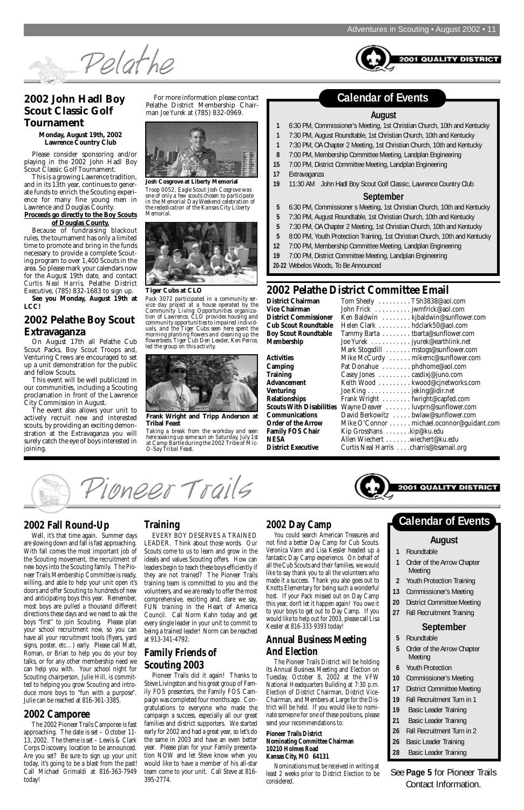**QUALITY DISTRICT** 

Pelathe

### **2002 John Hadl Boy Scout Classic Golf Tournament**

**Monday, August 19th, 2002 Lawrence Country Club**

Please consider sponsoring and/or playing in the 2002 John Hadl Boy Scout Classic Golf Tournament.

This is a growing Lawrence tradition, and in its 13th year, continues to generate funds to enrich the Scouting experience for many fine young men in Lawrence and Douglas County.

#### **Proceeds go directly to the Boy Scouts of Douglas County.**

Because of fundraising blackout rules, the tournament has only a limited time to promote and bring in the funds necessary to provide a complete Scouting program to over 1,400 Scouts in the area. So please mark your calendars now for the August 19th date, and contact *Curtis Neal Harris*, Pelathe District Executive, (785) 832-1683 to sign up. **See you Monday, August 19th at**

**LCC!**

### **2002 Pelathe Boy Scout Extravaganza**

On August 17th all Pelathe Cub Scout Packs, Boy Scout Troops and, Venturing Crews are encouraged to set up a unit demonstration for the public and fellow Scouts.

This event will be well publicized in our communities, including a Scouting proclamation in front of the Lawrence City Commission in August.

The event also allows your unit to actively recruit new and interested scouts, by providing an exciting demonstration at the Extravaganza you will surely catch the eye of boys interested in joining.

For more information please contact Pelathe District Membership Chairman *Joe Yurek* at (785) 832-0969. **August**

- **1** 6:30 PM, Commissioner's Meeting, 1st Christian Church, 10th and Kentucky
- **1** 7:30 PM, August Roundtable, 1st Christian Church, 10th and Kentucky
- **1** 7:30 PM, OA Chapter 2 Meeting, 1st Christian Church, 10th and Kentucky
- **8** 7:00 PM, Membership Committee Meeting, Landplan Engineering
- **15** 7:00 PM, District Committee Meeting, Landplan Engineering
- **17** Extravaganza
- **19** 11:30 AM John Hadl Boy Scout Golf Classic, Lawrence Country Club

#### **September**

- **5** 6:30 PM, Commissioner s Meeting, 1st Christian Church, 10th and Kentucky
- **5** 7:30 PM, August Roundtable, 1st Christian Church, 10th and Kentucky
- **5** 7:30 PM, OA Chapter 2 Meeting, 1st Christian Church, 10th and Kentucky
- **5** 8:00 PM, Youth Protection Training, 1st Christian Church, 10th and Kentucky
- **12** 7:00 PM, Membership Committee Meeting, Landplan Engineering
- **19** 7:00 PM, District Committee Meeting, Landplan Engineering
- **20-22** Webelos Woods, To Be Announced

### **2002 Pelathe Distri**

### **Calendar of Events**

|                                 | 2002 Pelathe District Committee Email     |
|---------------------------------|-------------------------------------------|
| <b>District Chairman</b>        | Tom Sheely TSh3838@aol.com                |
| <b>Vice Chairman</b>            | John Frick jwmfrick@aol.com               |
| <b>District Commissioner</b>    | Ken Baldwin kjbaldwin@sunflower.com       |
| <b>Cub Scout Roundtable</b>     | Helen Clark hdclark50@aol.com             |
| <b>Boy Scout Roundtable</b>     | Tammy Barta tbarta@sunflower.com          |
| <b>Membership</b>               | Joe Yurek jyurek@earthlink.net            |
|                                 | Mark Stogsdill mstogs@sunflower.com       |
| <b>Activities</b>               | Mike McCurdy  mikemc@sunflower.com        |
| <b>Camping</b>                  | Pat Donahue phdhome@aol.com               |
| <b>Training</b>                 | Casey Jones casdixj@juno.com              |
| <b>Advancement</b>              | Keith Wood kwood@cjnetworks.com           |
| <b>Venturing</b>                | Joe King jeking@idir.net                  |
| Relationships                   | Frank Wright fwright@capfed.com           |
| <b>Scouts With Disabilities</b> | Wayne Deaver luvprn@sunflower.com         |
| <b>Communications</b>           | David Berkowitz bwlaw@sunflower.com       |
| <b>Order of the Arrow</b>       | Mike O'Connor michael.oconnor@guidant.com |
| <b>Family FOS Chair</b>         | Kip Grosshans kip@ku.edu                  |
| <b>NESA</b>                     | Allen Wiechert wiechert@ku.edu            |
| <b>District Executive</b>       | Curtis Neal Harris charris@bsamail.org    |



#### **Tiger Cubs at CLO**

*Pack 3072 participated in a community service day project at a house operated by the Community Living Opportunities organization of Lawrence. CLO provides housing and community opportunities to impaired individuals, and the Tiger Cubs seen here spent the morning planting flowers and cleaning up the flowerbeds. Tiger Cub Den Leader, Ken Peirce, led the group on this activity.* 



**Josh Cosgrove at Liberty Memorial** *Troop 0052, Eagle Scout Josh Cosgrove was one of only a few scouts chosen to participate in the Memorial Day Weekend celebration of the rededication of the Kansas City Liberty Memorial.*





**Frank Wright and Tripp Anderson at Tribal Feast**

*Taking a break from the workday and seen here soaking up some sun on Saturday, July 1st at Camp Bartle during the 2002 Tribe of Mic-O-Say Tribal Feast.*

### **2002 Fall Round-Up**

Well, it's that time again. Summer days are slowing down and fall is fast approaching. With fall comes the most important job of the Scouting movement, the recruitment of new boys into the Scouting family. The Pioneer Trails Membership Committee is ready, willing, and able to help your unit open it's doors and offer Scouting to hundreds of new and anticipating boys this year. Remember, most boys are pulled a thousand different directions these days and we need to ask the boys "first" to join Scouting. Please plan your school recruitment now, so you can have all your recruitment tools (flyers, yard signs, poster, etc…) early. Please call Matt, Roman, or Brian to help you do your boy talks, or for any other membership need we can help you with. Your school night for Scouting chairperson, Julie Hill, is committed to helping you grow Scouting and introduce more boys to "fun with a purpose". Julie can be reached at 816-361-3385.

### **2002 Camporee**

The 2002 Pioneer Trails Camporee is fast approaching. The date is set – October 11- 13, 2002. The theme is set – Lewis & Clark Corps Discovery, location to be announced. Are you set? Be sure to sign up your unit today, it's going to be a blast from the past! Call Michael Grimaldi at 816-363-7949 today!

#### **Training**

Pioneer Trails

EVERY BOY DESERVES A TRAINED LEADER. Think about those words. Our Scouts come to us to learn and grow in the ideals and values Scouting offers. How can leaders begin to teach these boys efficiently if they are not trained? The Pioneer Trails training team is committed to you and the volunteers, and we are ready to offer the most comprehensive, exciting and, dare we say, FUN training in the Heart of America Council. Call Norm Kahn today and get every single leader in your unit to commit to being a trained leader! Norm can be reached at 913-341-4792.

### **Family Friends of Scouting 2003**

Pioneer Trails did it again! Thanks to Steve Livingston and his great group of Family FOS presenters, the Family FOS Campaign was completed four months ago. Congratulations to everyone who made the campaign a success, especially all our great families and district supporters. We started early for 2002 and had a great year, so let's do the same in 2003 and have an even better year. Please plan for your Family presentation NOW and let Steve know when you would like to have a member of his all-star team come to your unit. Call Steve at 816- 395-2774.

### **2002 Day Camp**

You could search American Treasures and not find a better Day Camp for Cub Scouts. Veronica Vann and Lisa Kessler headed up a fantastic Day Camp experience. On behalf of all the Cub Scouts and their families, we would like to say thank you to all the volunteers who made it a success. Thank you also goes out to Knotts Elementary for being such a wonderful host. If your Pack missed out on Day Camp this year, don't let it happen again! You owe it to your boys to get out to Day Camp. If you would like to help out for 2003, please call Lisa Kessler at 816-333-9393 today!

### **Annual Business Meeting And Election**

The Pioneer Trails District will be holding its Annual Business Meeting and Election on Tuesday, October 8, 2002 at the VFW National Headquarters Building at 7:30 p.m. Election of District Chairman, District Vice-Chairman, and Members-at Large for the District will be held. If you would like to nominate someone for one of these positions, please send your recommendations to:

#### **Pioneer Trails District Nominating Committee Chairman 10210 Holmes Road Kansas City, MO 64131**

Nominations must be received in writing at least 2 weeks prior to District Election to be considered.

#### **August**

- **1** Roundtable
- **1** Order of the Arrow Chapter Meeting
- **2** Youth Protection Training
- **13** Commissioner's Meeting

**20** District Committee Meeting

**27** Fall Recruitment Training

### **September**

- **5** Roundtable
- **5** Order of the Arrow Chapter Meeting
- **6** Youth Protection
- **10** Commissioner's Meeting
- **17** District Committee Meeting
- **19** Fall Recruitment Turn in 1
- **19** Basic Leader Training
- **21** Basic Leader Training
- **26** Fall Recruitment Turn in 2
- **26** Basic Leader Training
- **28** Basic Leader Training

### **Calendar of Events**

See **Page 5** for Pioneer Trails Contact Information.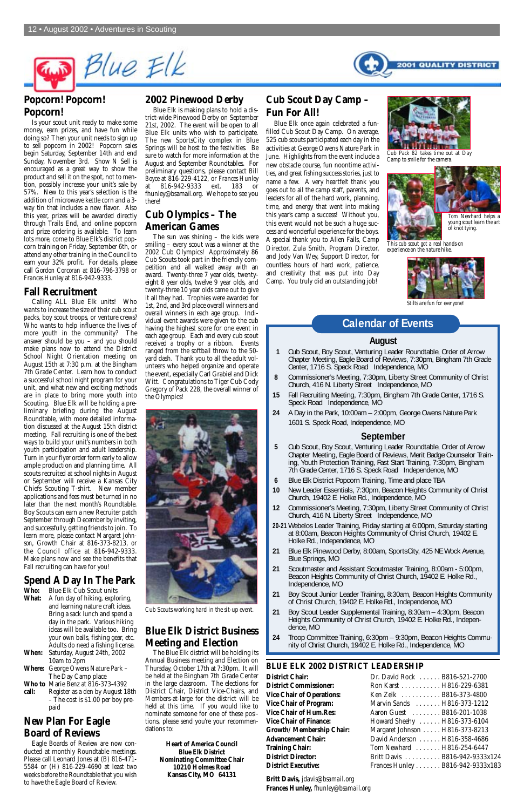

### **Popcorn! Popcorn! Popcorn!**

Is your scout unit ready to make some money, earn prizes, and have fun while doing so? Then your unit needs to sign up to sell popcorn in 2002! Popcorn sales begin Saturday, September 14th and end Sunday, November 3rd. Show N Sell is encouraged as a great way to show the product and sell it on the spot, not to mention, possibly increase your unit's sale by 57%. New to this year's selection is the addition of microwave kettle corn and a 3 way tin that includes a new flavor. Also this year, prizes will be awarded directly through Trails End, and online popcorn and prize ordering is available. To learn lots more, come to Blue Elk's district popcorn training on Friday, September 6th, or attend any other training in the Council to earn your 32% profit. For details, please call *Gordon Corcoran* at 816-796-3798 or *Frances Hunley* at 816-942-9333.

### **Fall Recruitment**

Calling ALL Blue Elk units! Who wants to increase the size of their cub scout packs, boy scout troops, or venture crews? Who wants to help influence the lives of more youth in the community? The answer should be you – and you should make plans now to attend the District School Night Orientation meeting on August 15th at 7:30 p.m. at the Bingham 7th Grade Center. Learn how to conduct a successful school night program for your unit, and what new and exciting methods are in place to bring more youth into Scouting. Blue Elk will be holding a preliminary briefing during the August Roundtable, with more detailed information discussed at the August 15th district meeting. Fall recruiting is one of the best ways to build your unit's numbers in both youth participation and adult leadership. Turn in your flyer order form early to allow ample production and planning time. All scouts recruited at school nights in August or September will receive a Kansas City Chiefs Scouting T-shirt. New member applications and fees must be turned in no later than the next month's Roundtable. Boy Scouts can earn a new Recruiter patch September through December by inviting, and successfully, getting friends to join. To learn more, please contact *Margaret Johnson*, Growth Chair at 816-373-8213, or the Council office at 816-942-9333. Make plans now and see the benefits that Fall recruiting can have for you!

## **Spend A Day In The Park**

**Who:** Blue Elk Cub Scout units

- **What:** A fun day of hiking, exploring, and learning nature craft ideas. Bring a sack lunch and spend a day in the park. Various hiking ideas will be available too. Bring your own balls, fishing gear, etc. Adults do need a fishing license.
- **When:** Saturday, August 24th, 2002 10am to 2pm
- **Where:** George Owens Nature Park The Day Camp place
- **Who to** Marie Benz at 816-373-4392
- **call:** Register as a den by August 18th – The cost is \$1.00 per boy prepaid

### **New Plan For Eagle Board of Reviews**

Eagle Boards of Review are now conducted at monthly Roundtable meetings. Please call Leonard Jones at (B) 816-471- 5584 or (H) 816-229-4690 at least two weeks before the Roundtable that you wish to have the Eagle Board of Review.

#### **2002 Pinewood Derby**

Blue Elk is making plans to hold a district-wide Pinewood Derby on September 21st, 2002. The event will be open to all Blue Elk units who wish to participate. The new SportsCity complex in Blue Springs will be host to the festivities. Be sure to watch for more information at the August and September Roundtables. For preliminary questions, please contact *Bill Boyce* at 816-229-4122, or *Frances Hunley* at 816-942-9333 ext. 183 or fhunley@bsamail.org. We hope to see you there!

### **Cub Olympics – The American Games**

The sun was shining – the kids were smiling – every scout was a winner at the 2002 Cub Olympics! Approximately 86 Cub Scouts took part in the friendly competition and all walked away with an award. Twenty-three 7 year olds, twentyeight 8 year olds, twelve 9 year olds, and twenty-three 10 year olds came out to give it all they had. Trophies were awarded for 1st, 2nd, and 3rd place overall winners and overall winners in each age group. Individual event awards were given to the cub having the highest score for one event in each age group. Each and every cub scout received a trophy or a ribbon. Events ranged from the softball throw to the 50 yard dash. Thank you to all the adult volunteers who helped organize and operate the event, especially Carl Grabiel and Dick Witt. Congratulations to Tiger Cub Cody Gregory of Pack 228, the overall winner of the Olympics!



*Cub Scouts working hard in the sit-up event.*

### **Blue Elk District Business Meeting and Election**

The Blue Elk district will be holding its Annual Business meeting and Election on Thursday, October 17th at 7:30pm. It will be held at the Bingham 7th Grade Center in the large classroom. The elections for District Chair, District Vice-Chairs, and Members-at-large for the district will be held at this time. If you would like to nominate someone for one of these positions, please send you're your recommendations to:

> **Heart of America Council Blue Elk District Nominating Committee Chair 10210 Holmes Road Kansas City, MO 64131**

### **Cub Scout Day Camp – Fun For All!**

Blue Elk once again celebrated a funfilled Cub Scout Day Camp. On average, 525 cub scouts participated each day in the activities at George Owens Nature Park in June. Highlights from the event include a new obstacle course, fun noontime activities, and great fishing success stories, just to name a few. A very heartfelt thank you goes out to all the camp staff, parents, and leaders for all of the hard work, planning, time, and energy that went into making this year's camp a success! Without you, this event would not be such a huge success and wonderful experience for the boys. A special thank you to Allen Fails, Camp Director, Zula Smith, Program Director, and Jody Van Wey, Support Director, for countless hours of hard work, patience, and creativity that was put into Day Camp. You truly did an outstanding job!

#### **August**

- **1** Cub Scout, Boy Scout, Venturing Leader Roundtable, Order of Arrow Chapter Meeting, Eagle Board of Reviews, 7:30pm, Bingham 7th Grade Center, 1716 S. Speck Road Independence, MO
- **8** Commissioner's Meeting, 7:30pm, Liberty Street Community of Christ Church, 416 N. Liberty Street Independence, MO
- **15** Fall Recruiting Meeting, 7:30pm, Bingham 7th Grade Center, 1716 S. Speck Road Independence, MO
- **24** A Day in the Park, 10:00am 2:00pm, George Owens Nature Park 1601 S. Speck Road, Independence, MO

#### **September**

- **5** Cub Scout, Boy Scout, Venturing Leader Roundtable, Order of Arrow Chapter Meeting, Eagle Board of Reviews, Merit Badge Counselor Training, Youth Protection Training, Fast Start Training, 7:30pm, Bingham 7th Grade Center, 1716 S. Speck Road Independence, MO
- **6** Blue Elk District Popcorn Training, Time and place TBA
- **10** New Leader Essentials, 7:30pm, Beacon Heights Community of Christ Church, 19402 E. Holke Rd., Independence, MO
- **12** Commissioner's Meeting, 7:30pm, Liberty Street Community of Christ Church, 416 N. Liberty Street Independence, MO
- **20-21** Webelos Leader Training, Friday starting at 6:00pm, Saturday starting at 8:00am, Beacon Heights Community of Christ Church, 19402 E. Holke Rd., Independence, MO
- **21** Blue Elk Pinewood Derby, 8:00am, SportsCity, 425 NE Wock Avenue, Blue Springs, MO
- **21** Scoutmaster and Assistant Scoutmaster Training, 8:00am 5:00pm, Beacon Heights Community of Christ Church, 19402 E. Holke Rd., Independence, MO
- **21** Boy Scout Junior Leader Training, 8:30am, Beacon Heights Community
- of Christ Church, 19402 E. Holke Rd., Independence, MO
- **21** Boy Scout Leader Supplemental Training, 8:30am 4:30pm, Beacon Heights Community of Christ Church, 19402 E. Holke Rd., Independence, MO
- **24** Troop Committee Training, 6:30pm 9:30pm, Beacon Heights Community of Christ Church, 19402 E. Holke Rd., Independence, MO

### **Calendar of Events**

#### **BLUE ELK 2002 DISTRICT LEADERSHIP**

| <b>District Chair:</b>           | Dr. David Rock B816-521-2700     |
|----------------------------------|----------------------------------|
| <b>District Commissioner:</b>    | Ron Karst H816-229-6381          |
| <b>Vice Chair of Operations:</b> | Ken Zelk B816-373-4800           |
| <b>Vice Chair of Program:</b>    | Marvin Sands H816-373-1212       |
| <b>Vice Chair of Hum.Res:</b>    | Aaron Guest B816-201-1038        |
| <b>Vice Chair of Finance:</b>    | Howard Sheehy  H816-373-6104     |
| Growth/ Membership Chair:        | Margaret Johnson H816-373-8213   |
| <b>Advancement Chair:</b>        | David Anderson  H816-358-4686    |
| <b>Training Chair:</b>           | Tom Newhard  H816-254-6447       |
| <b>District Director:</b>        | Britt Davis B816-942-9333x124    |
| <b>District Executive:</b>       | Frances Hunley B816-942-9333x183 |

**Britt Davis,** *jdavis@bsamail.org* **Frances Hunley,** *fhunley@bsamail.org*

*This cub scout got a real hands-on experience on the nature hike.*



*Stilts are fun for everyone!*



*Tom Newhard helps a young scout learn the art*



*Cub Pack 82 takes time out at Day Camp to smile for the camera.*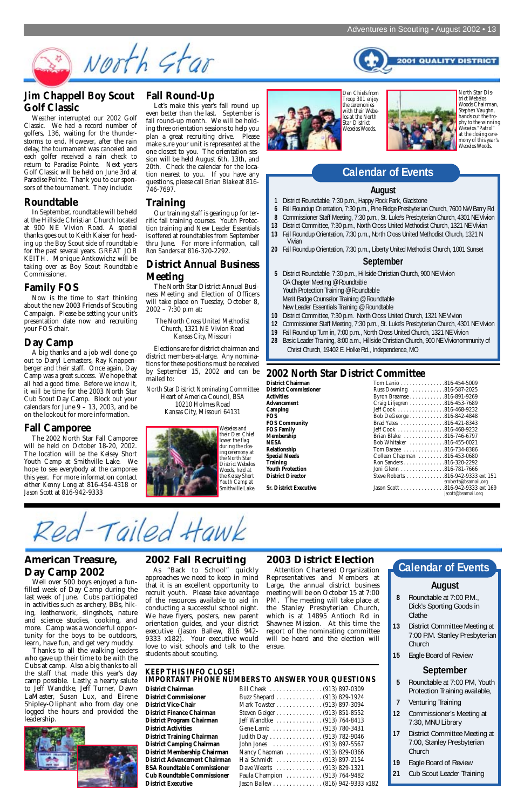**2001 QUALITY DISTRICT** 



### **Jim Chappell Boy Scout Golf Classic**

Weather interrupted our 2002 Golf Classic. We had a record number of golfers, 136, waiting for the thunderstorms to end. However, after the rain delay, the tournament was canceled and each golfer received a rain check to return to Paradise Pointe. Next years Golf Classic will be held on June 3rd at Paradise Pointe. Thank you to our sponsors of the tournament. They include:

### **Roundtable**

In September, roundtable will be held at the Hillside Christian Church located at 900 NE Vivion Road. A special thanks goes out to Keith Kaiser for heading up the Boy Scout side of roundtable for the past several years. GREAT JOB KEITH. Monique Antkowichz will be taking over as Boy Scout Roundtable Commissioner.

### **Family FOS**

Now is the time to start thinking about the new 2003 Friends of Scouting Campaign. Please be setting your unit's presentation date now and recruiting your FOS chair.

### **Day Camp**

A big thanks and a job well done go out to Daryl Lemasters, Ray Knappenberger and their staff. Once again, Day Camp was a great success. We hope that all had a good time. Before we know it, it will be time for the 2003 North Star Cub Scout Day Camp. Block out your calendars for June 9 – 13, 2003, and be on the lookout for more information.

### **Fall Camporee**

The 2002 North Star Fall Camporee will be held on October 18-20, 2002. The location will be the Kelsey Short Youth Camp at Smithville Lake. We hope to see everybody at the camporee this year. For more information contact either *Kenny Long* at 816-454-4318 or *Jason Scott* at 816-942-9333

### **Fall Round-Up**

Let's make this year's fall round up even better than the last. September is fall round-up month. We will be holding three orientation sessions to help you plan a great recruiting drive. Please make sure your unit is represented at the one closest to you. The orientation session will be held August 6th, 13th, and 20th. Check the calendar for the location nearest to you. If you have any questions, please call *Brian Blake* at 816- 746-7697.

#### **Training**

Our training staff is gearing up for terrific fall training courses. Youth Protection training and New Leader Essentials is offered at roundtables from September thru June. For more information, call *Ron Sanders* at 816-320-2292.

### **District Annual Business Meeting**

The North Star District Annual Business Meeting and Election of Officers will take place on Tuesday, October 8, 2002 – 7:30 p.m at:

The North Cross United Methodist Church, 1321 NE Vivion Road Kansas City, Missouri

Elections are for district chairman and district members-at-large. Any nominations for these positions must be received by September 15, 2002 and can be mailed to:

North Star District Nominating Committee Heart of America Council, BSA 10210 Holmes Road

Kansas City, Missouri 64131

#### **August**

- **1** District Roundtable, 7:30 p.m., Happy Rock Park, Gladstone
- **6** Fall Roundup Orientation, 7:30 p.m., Pine Ridge Presbyterian Church, 7600 NW Barry Rd
- **8** Commissioner Staff Meeting, 7:30 p.m., St. Luke's Presbyterian Church, 4301 NE Vivion
- **13** District Committee, 7:30 p.m., North Cross United Methodist Church, 1321 NE Vivian
- **13** Fall Roundup Orientation, 7:30 p.m., North Cross United Methodist Church, 1321 N Vivian
- **20** Fall Roundup Orientation, 7:30 p.m., Liberty United Methodist Church, 1001 Sunset

Well over 500 boys enjoyed a funfilled week of Day Camp during the last week of June. Cubs participated in activities such as archery, BBs, hiking, leatherwork, slingshots, nature and science studies, cooking, and more. Camp was a wonderful opportunity for the boys to be outdoors, learn, have fun, and get very muddy. Thanks to all the walking leaders who gave up their time to be with the Cubs at camp. Also a big thanks to all the staff that made this year's day camp possible. Lastly, a hearty salute to Jeff Wandtke, Jeff Turner, Dawn LaMaster, Susan Lux, and Eirene Shipley-Oliphant who from day one logged the hours and provided the leadership.

#### **September**

- **5** District Roundtable, 7:30 p.m., Hillside Christian Church, 900 NE Vivion OA Chapter Meeting @ Roundtable Youth Protection Training @ Roundtable Merit Badge Counselor Training @ Roundtable New Leader Essentials Training @ Roundtable
- **10** District Committee, 7:30 p.m. North Cross United Church, 1321 NE Vivion
- **12** Commissioner Staff Meeting, 7:30 p.m., St. Luke's Presbyterian Church, 4301 NE Vivion
- **19** Fall Round up Turn in, 7:00 p.m., North Cross United Church, 1321 NE Vivion
- **28** Basic Leader Training, 8:00 a.m., Hillside Christian Church, 900 NE Vivionommunity of Christ Church, 19402 E. Holke Rd., Independence, MO

### **Calendar of Events**

*North Star District Webelos Woods Chairman, Stephen Vaughn, hands out the trophy to the winning Webelos "Patrol" at the closing ceremony of this year's Webelos Woods.*

*Den Chiefs from Troop 301 enjoy the ceremonies with their Webelos at the North Star District Webelos Woods.*







### **2002 North Star District Committee**

| District Chairman            | Tom Lanio 816-454-5009                                                         |
|------------------------------|--------------------------------------------------------------------------------|
| <b>District Commissioner</b> | Russ Downing 816-587-2025                                                      |
| Activities                   | Byron Braamse 816-891-9269                                                     |
| Advancement                  | Craig Liljegren 816-453-7689                                                   |
| Camping                      | Jeff Cook 816-468-9232                                                         |
| FOS.                         | Bob DeGeorge 816-842-4848                                                      |
| <b>FOS Community</b>         | Brad Yates 816-421-8343                                                        |
| FOS Family                   | Jeff Cook 816-468-9232                                                         |
| Membership                   | Brian Blake 816-746-6797                                                       |
| NESA                         | Bob Whitaker 816-455-0021                                                      |
| Relationship                 | Tom Barzee 816-734-8386                                                        |
| Special Needs                | Colleen Chapman 816-453-0680                                                   |
| Training                     | Ron Sanders 816-320-2292                                                       |
| Youth Protection             | Joni Glenn 816-781-7666                                                        |
| <b>District Director</b>     | Steve Roberts 816-942-9333 ext 151                                             |
| Sr. District Executive       | sroberts@bsamail,org<br>Jason Scott 816-942-9333 ext 169<br>jscott@bsamail.org |

### **American Treasure, Day Camp 2002**

### **2002 Fall Recruiting**

As "Back to School" quickly approaches we need to keep in mind that it is an excellent opportunity to recruit youth. Please take advantage of the resources available to aid in conducting a successful school night. We have flyers, posters, new parent orientation guides, and your district executive (Jason Ballew, 816 942- 9333 x182). Your executive would love to visit schools and talk to the students about scouting.

### **2003 District Election**

Attention Chartered Organization Representatives and Members at Large, the annual district business meeting will be on October 15 at 7:00 PM. The meeting will take place at the Stanley Presbyterian Church, which is at 14895 Antioch Rd in Shawnee Mission. At this time the report of the nominating committee will be heard and the election will ensue.

- **8** Roundtable at 7:00 P.M., Dick's Sporting Goods in Olathe
- **13** District Committee Meeting at 7:00 P.M. Stanley Presbyterian Church
- **15** Eagle Board of Review

### **September**





- **5** Roundtable at 7:00 PM, Youth Protection Training available,
- **7** Venturing Training
- **12** Commissioner's Meeting at 7:30, MNU Library
- **17** District Committee Meeting at 7:00, Stanley Presbyterian Church
- **19** Eagle Board of Review
- **21** Cub Scout Leader Training

#### **KEEP THIS INFO CLOSE! IMPORTANT PHONE NUMBERS TO ANSWER YOUR QUESTIONS**

#### **District Chairman** Bill Cheek . . . . . . . . . . . . . . . . (913) 897-0309 **District Commissioner** Buzz Shepard . . . . . . . . . . . . . . (913) 829-1924 **District Vice-Chair** Mark Towster . . . . . . . . . . . . . . (913) 897-3094 **District Finance Chairman** Steven Geiger . . . . . . . . . . . . . . (913) 851-8552 **District Program Chairman** Jeff Wandtke . . . . . . . . . . . . . . (913) 764-8413 **District Activities** Gene Lamb . . . . . . . . . . . . . . . (913) 780-3431 **District Training Chairman** Judith Day . . . . . . . . . . . . . . . . (913) 782-9046 **hn Jones** . . . . . . . . . . . . . . . . (913) 897-5567 **District Membership Chairman** Nancy Chapman . . . . . . . . . . . (913) 829-0366 **District Advancement Chairman** Hal Schmidt . . . . . . . . . . . . . . (913) 897-2154 **Brandtable Commission Commission Commission Commission Commission Commission Commission Commission Commission Commission Commission Commission Commission Commission Commission Commission Commission Commission Commission C Cub Roundtable Commissioner** Paula Champion . . . . . . . . . . . (913) 764-9482

| <b>District Chairman</b>             | Bill Cheek  (913) 897-0309       |
|--------------------------------------|----------------------------------|
| <b>District Commissioner</b>         | Buzz Shepard (913) 829-1924      |
| <b>District Vice-Chair</b>           | Mark Towster (913) 897-3094      |
| <b>District Finance Chairman</b>     | Steven Geiger (913) 851-8552     |
| <b>District Program Chairman</b>     | Jeff Wandtke  (913) 764-8413     |
| <b>District Activities</b>           | Gene Lamb (913) 780-3431         |
| <b>District Training Chairman</b>    | Judith Day (913) 782-9046        |
| <b>District Camping Chairman</b>     | John Jones (913) 897-5567        |
| <b>District Membership Chairman</b>  | Nancy Chapman (913) 829-0366     |
| <b>District Advancement Chairman</b> | Hal Schmidt (913) 897-2154       |
| <b>BSA Roundtable Commissioner</b>   | Dave Weerts  (913) 829-1321      |
| <b>Cub Roundtable Commissioner</b>   | Paula Champion (913) 764-9482    |
| <b>District Executive</b>            | Jason Ballew (816) 942-9333 x182 |
|                                      |                                  |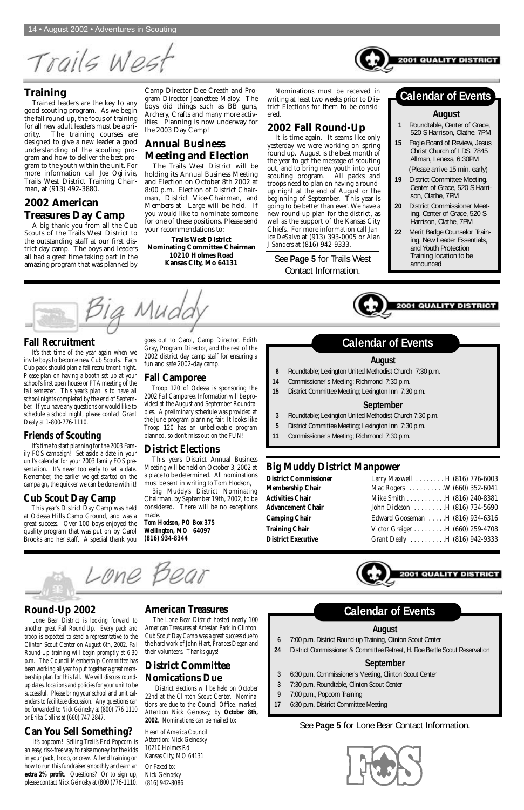Trails Wes

### **Training**

Trained leaders are the key to any good scouting program. As we begin the fall round-up, the focus of training for all new adult leaders must be a priority. The training courses are designed to give a new leader a good understanding of the scouting program and how to deliver the best program to the youth within the unit. For more information call *Joe Ogilivie*, Trails West District Training Chairman, at (913) 492-3880.

### **2002 American Treasures Day Camp**

A big thank you from all the Cub Scouts of the Trails West District to the outstanding staff at our first district day camp. The boys and leaders all had a great time taking part in the amazing program that was planned by

Camp Director Dee Creath and Program Director Jeanettee Maloy. The boys did things such as BB guns, Archery, Crafts and many more activities. Planning is now underway for the 2003 Day Camp!

### **Annual Business Meeting and Election**

The Trails West District will be holding its Annual Business Meeting and Election on October 8th 2002 at 8:00 p.m. Election of District Chairman, District Vice-Chairman, and Members-at –Large will be held. If you would like to nominate someone for one of these positions, Please send your recommendations to:

**Trails West District Nominating Committee Chairman 10210 Holmes Road Kansas City, Mo 64131**

Nominations must be received in writing at least two weeks prior to District Elections for them to be considered.

### **2002 Fall Round-Up**

It is time again. It seams like only yesterday we were working on spring round up. August is the best month of the year to get the message of scouting out, and to bring new youth into your scouting program. All packs and troops need to plan on having a roundup night at the end of August or the beginning of September. This year is going to be better than ever. We have a new round-up plan for the district, as well as the support of the Kansas City Chiefs. For more information call *Janice DeSalvo* at (913) 393-0005 or *Alan J Sanders* at (816) 942-9333.

#### **August**

- **1** Roundtable, Center of Grace, 520 S Harrison, Olathe, 7PM
- **15** Eagle Board of Review, Jesus Christ Church of LDS, 7845 Allman, Lenexa, 6:30PM

(Please arrive 15 min. early)

- **19** District Committee Meeting, Center of Grace, 520 S Harrison, Olathe, 7PM
- **20** District Commissioner Meeting, Center of Grace, 520 S Harrison, Olathe, 7PM
- **22** Merit Badge Counselor Training, New Leader Essentials, and Youth Protection Training location to be announced

001 QUALITY DISTRI

### **Calendar of Events**

**2001 QUALITY** 

### **Round-Up 2002**

Lone Bear District is looking forward to another great Fall Round-Up. Every pack and troop is expected to send a representative to the Clinton Scout Center on August 6th, 2002. Fall Round-Up training will begin promptly at 6:30 p.m. The Council Membership Committee has been working all year to put together a great membership plan for this fall. We will discuss roundup dates, locations and policies for your unit to be successful. Please bring your school and unit calendars to facilitate discussion. Any questions can be forwarded to *Nick Geinosky* at (800) 776-1110 or *Erika Collins* at (660) 747-2847.

### **Can You Sell Something?**

It's popcorn! Selling Trail's End Popcorn is an easy, risk-free way to raise money for the kids in your pack, troop, or crew. Attend training on how to run this fundraiser smoothly and earn an **extra 2% profit**. Questions? Or to sign up, please contact *Nick Geinosky* at (800 )776-1110.

### **American Treasures**

The Lone Bear District hosted nearly 100 American Treasures at Artesian Park in Clinton. Cub Scout Day Camp was a great success due to the hard work of John Hart, Frances Degan and their volunteers. Thanks guys!

### **District Committee Nomications Due**

District elections will be held on October 22nd at the Clinton Scout Center. Nominations are due to the Council Office, marked, Attention Nick Geinosky, by **October 8th, 2002**. Nominations can be mailed to:

Heart of America Council Attention: Nick Geinosky 10210 Holmes Rd. Kansas City, MO 64131

Or Faxed to: Nick Geinosky (816) 942-8086

#### **Fall Recruitment**

It's that time of the year again when we invite boys to become new Cub Scouts. Each Cub pack should plan a fall recruitment night. Please plan on having a booth set up at your school's first open house or PTA meeting of the fall semester. This year's plan is to have all school nights completed by the end of September. If you have any questions or would like to schedule a school night, please contact Grant Dealy at 1-800-776-1110.

### **Friends of Scouting**

It's time to start planning for the 2003 Family FOS campaign! Set aside a date in your unit's calendar for your 2003 family FOS presentation. It's never too early to set a date. Remember, the earlier we get started on the campaign, the quicker we can be done with it!

### **Cub Scout Day Camp**

This year's District Day Camp was held at Odessa Hills Camp Ground, and was a great success. Over 100 boys enjoyed the quality program that was put on by Carol Brooks and her staff. A special thank you

goes out to Carol, Camp Director, Edith Gray, Program Director, and the rest of the 2002 district day camp staff for ensuring a fun and safe 2002-day camp.

#### **Fall Camporee**

Troop 120 of Odessa is sponsoring the 2002 Fall Camporee. Information will be provided at the August and September Roundtables. A preliminary schedule was provided at the June program planning fair. It looks like Troop 120 has an unbelievable program planned, so don't miss out on the FUN!

#### **District Elections**

This years District Annual Business Meeting will be held on October 3, 2002 at a place to be determined. All nominations must be sent in writing to Tom Hodson,

Big Muddy's District Nominating Chairman, by September 19th, 2002, to be considered. There will be no exceptions made.

*Tom Hodson, PO Box 375 Wellington, MO 64097 (816) 934-8344*

### **Big Muddy District Manpower**

| Larry Maxwell H (816) 776-6003<br>Mac Rogers W (660) 352-6041<br>Mike Smith H (816) 240-8381<br>John Dickson H (816) 734-5690<br>Edward Gooseman H (816) 934-6316<br>Victor Greiger H (660) 259-4708<br>Grant Dealy H (816) 942-9333 |
|--------------------------------------------------------------------------------------------------------------------------------------------------------------------------------------------------------------------------------------|





Lone Bear

#### **August**

- **6** 7:00 p.m. District Round-up Training, Clinton Scout Center
- **24** District Commissioner & Committee Retreat, H. Roe Bartle Scout Reservation

### **September**

- **3** 6:30 p.m. Commissioner's Meeting, Clinton Scout Center
- **3** 7:30 p.m. Roundtable, Clinton Scout Center
- **9** 7:00 p.m., Popcorn Training
- **17** 6:30 p.m. District Committee Meeting

## **Calendar of Events**

#### **August**

- **6** Roundtable; Lexington United Methodist Church 7:30 p.m.
- **14** Commissioner's Meeting; Richmond 7:30 p.m.
- **15** District Committee Meeting; Lexington Inn 7:30 p.m.

#### **September**

- **3** Roundtable; Lexington United Methodist Church 7:30 p.m.
- **5** District Committee Meeting; Lexington Inn 7:30 p.m.
- **11** Commissioner's Meeting; Richmond 7:30 p.m.

### **Calendar of Events**

See **Page 5** for Trails West Contact Information.

### See **Page 5** for Lone Bear Contact Information.

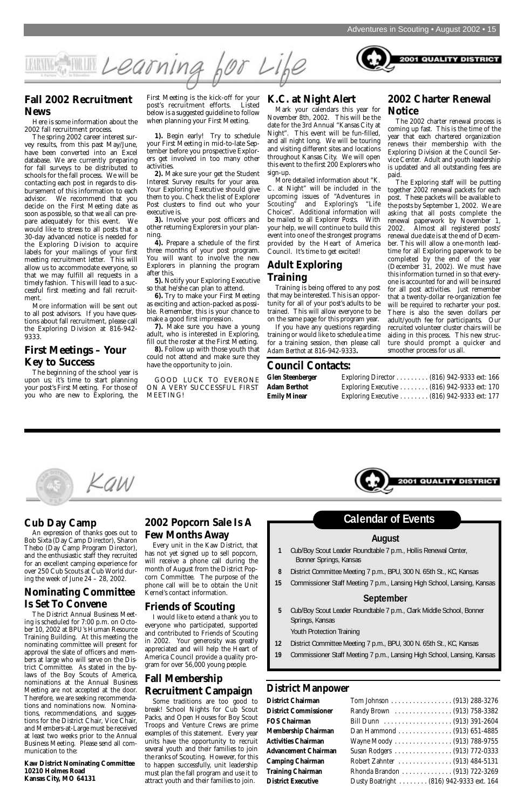

### **Fall 2002 Recruitment News**

Here is some information about the 2002 fall recruitment process.

The spring 2002 career interest survey results, from this past May/June, have been converted into an Excel database. We are currently preparing for fall surveys to be distributed to schools for the fall process. We will be contacting each post in regards to disbursement of this information to each advisor. We recommend that you decide on the First Meeting date as soon as possible, so that we all can prepare adequately for this event. We would like to stress to all posts that a 30-day advanced notice is needed for the Exploring Division to acquire labels for your mailings of your first meeting recruitment letter. This will allow us to accommodate everyone, so that we may fulfill all requests in a timely fashion. This will lead to a successful first meeting and fall recruitment.

More information will be sent out to all post advisors. If you have questions about fall recruitment, please call the Exploring Division at 816-942- 9333.

#### **First Meetings – Your Key to Success**

The beginning of the school year is upon us; it's time to start planning your post's First Meeting. For those of you who are new to Exploring, the

First Meeting is the kick-off for your post's recruitment efforts. Listed below is a suggested guideline to follow when planning your First Meeting.

**1).** Begin early! Try to schedule your First Meeting in mid-to-late September before you prospective Explorers get involved in too many other activities.

**2).** Make sure your get the Student Interest Survey results for your area. Your Exploring Executive should give them to you. Check the list of Explorer Post clusters to find out who your executive is.

**3).** Involve your post officers and other returning Explorers in your planning.

**4).** Prepare a schedule of the first three months of your post program. You will want to involve the new Explorers in planning the program after this.

**5).** Notify your Exploring Executive so that he/she can plan to attend.

**6).** Try to make your First Meeting as exciting and action-packed as possible. Remember, this is your chance to make a good first impression.

**7).** Make sure you have a young adult, who is interested in Exploring, fill out the roster at the First Meeting. **8).** Follow up with those youth that

could not attend and make sure they have the opportunity to join.

GOOD LUCK TO EVERONE ON A VERY SUCCESSFUL FIRST MEETING!

#### **K.C. at Night Alert**

Mark your calendars this year for November 8th, 2002. This will be the date for the 3rd Annual "Kansas City at Night". This event will be fun-filled, and all night long. We will be touring and visiting different sites and locations throughout Kansas City. We will open this event to the first 200 Explorers who sign-up.

More detailed information about "K. C. at Night" will be included in the upcoming issues of "Adventures in Scouting" and Exploring's "Life Choices". Additional information will be mailed to all Explorer Posts. With your help, we will continue to build this event into one of the strongest programs provided by the Heart of America Council. It's time to get excited!

### **Adult Exploring Training**

Training is being offered to any post that may be interested. This is an opportunity for all of your post's adults to be trained. This will allow everyone to be on the same page for this program year.

If you have any questions regarding training or would like to schedule a time for a training session, then please call *Adam Berthot* at 816-942-9333**.**

#### **2002 Charter Renewal Notice**

**2001 QUALITY DISTRICT** 

The 2002 charter renewal process is coming up fast. This is the time of the year that each chartered organization renews their membership with the Exploring Division at the Council Service Center. Adult and youth leadership is updated and all outstanding fees are paid.

The Exploring staff will be putting together 2002 renewal packets for each post. These packets will be available to the posts by September 1, 2002. We are asking that all posts complete the renewal paperwork by November 1, 2002. Almost all registered posts' renewal due date is at the end of December. This will allow a one-month leadtime for all Exploring paperwork to be completed by the end of the year (December 31, 2002). We must have this information turned in so that everyone is accounted for and will be insured for all post activities. Just remember that a twenty-dollar re-organization fee will be required to recharter your post. There is also the seven dollars per adult/youth fee for participants. Our recruited volunteer cluster chairs will be aiding in this process. This new structure should prompt a quicker and smoother process for us all.

| Exploring Director $\ldots \ldots \ldots (816)$ 942-9333 ext: 166  |  |  |
|--------------------------------------------------------------------|--|--|
| Exploring Executive (816) 942-9333 ext: 170                        |  |  |
| Exploring Executive $\ldots \ldots \ldots (816)$ 942-9333 ext: 177 |  |  |

**2001 QUALITY DISTRIC** 



### **Council Contacts:**

**Glen Steenberger Adam Berthot Emily Minear** 

### **Cub Day Camp**

An expression of thanks goes out to Bob Sixta (Day Camp Director), Sharon Thebo (Day Camp Program Director), and the enthusiastic staff they recruited for an excellent camping experience for over 250 Cub Scouts at Cub World during the week of June 24 – 28, 2002.

### **Nominating Committee**

### **Is Set To Convene**

The District Annual Business Meeting is scheduled for 7:00 p.m. on October 10, 2002 at BPU's Human Resource Training Building. At this meeting the nominating committee will present for approval the slate of officers and members at large who will serve on the District Committee. As stated in the bylaws of the Boy Scouts of America, nominations at the Annual Business Meeting are not accepted at the door. Therefore, we are seeking recommendations and nominations now. Nominations, recommendations, and suggestions for the District Chair, Vice Chair, and Members-at-Large must be received at least two weeks prior to the Annual Business Meeting. Please send all communication to the:

**Kaw District Nominating Committee 10210 Holmes Road Kansas City, MO 64131**

### **2002 Popcorn Sale Is A Few Months Away**

Every unit in the Kaw District, that has not yet signed up to sell popcorn, will receive a phone call during the month of August from the District Popcorn Committee. The purpose of the phone call will be to obtain the Unit Kernel's contact information.

## **Friends of Scouting**

I would like to extend a thank you to everyone who participated, supported and contributed to Friends of Scouting in 2002. Your generosity was greatly appreciated and will help the Heart of America Council provide a quality program for over 56,000 young people.

### **Fall Membership Recruitment Campaign**

Some traditions are too good to break! School Nights for Cub Scout Packs, and Open Houses for Boy Scout Troops and Venture Crews are prime examples of this statement. Every year units have the opportunity to recruit several youth and their families to join the ranks of Scouting. However, for this to happen successfully, unit leadership must plan the fall program and use it to attract youth and their families to join.

### **District Manpower**

| District Chairman            |  |
|------------------------------|--|
| <b>District Commissioner</b> |  |
| <b>FOS Chairman</b>          |  |
| Membership Chairman          |  |
| <b>Activities Chairman</b>   |  |
| Advancement Chairman         |  |
| <b>Camping Chairman</b>      |  |
| <b>Training Chairman</b>     |  |
| <b>District Executive</b>    |  |
|                              |  |

| <b>District Chairman</b>     |                                         |
|------------------------------|-----------------------------------------|
| <b>District Commissioner</b> | Randy Brown  (913) 758-3382             |
| <b>FOS Chairman</b>          |                                         |
| Membership Chairman          | Dan Hammond (913) 651-4885              |
| <b>Activities Chairman</b>   | Wayne Moody  (913) 788-9755             |
| <b>Advancement Chairman</b>  | Susan Rodgers (913) 772-0333            |
| <b>Camping Chairman</b>      | Robert Zahnter (913) 484-5131           |
| <b>Training Chairman</b>     | Rhonda Brandon (913) 722-3269           |
| <b>District Executive</b>    | Dusty Boatright (816) 942-9333 ext. 164 |

#### **August**

- **1** Cub/Boy Scout Leader Roundtable 7 p.m., Hollis Renewal Center, Bonner Springs, Kansas
- **8** District Committee Meeting 7 p.m., BPU, 300 N. 65th St., KC, Kansas
- **15** Commissioner Staff Meeting 7 p.m., Lansing High School, Lansing, Kansas



#### **September**

**5** Cub/Boy Scout Leader Roundtable 7 p.m., Clark Middle School, Bonner Springs, Kansas

Youth Protection Training

- **12** District Committee Meeting 7 p.m., BPU, 300 N. 65th St., KC, Kansas
- **19** Commissioner Staff Meeting 7 p.m., Lansing High School, Lansing, Kansas

# **Calendar of Events**